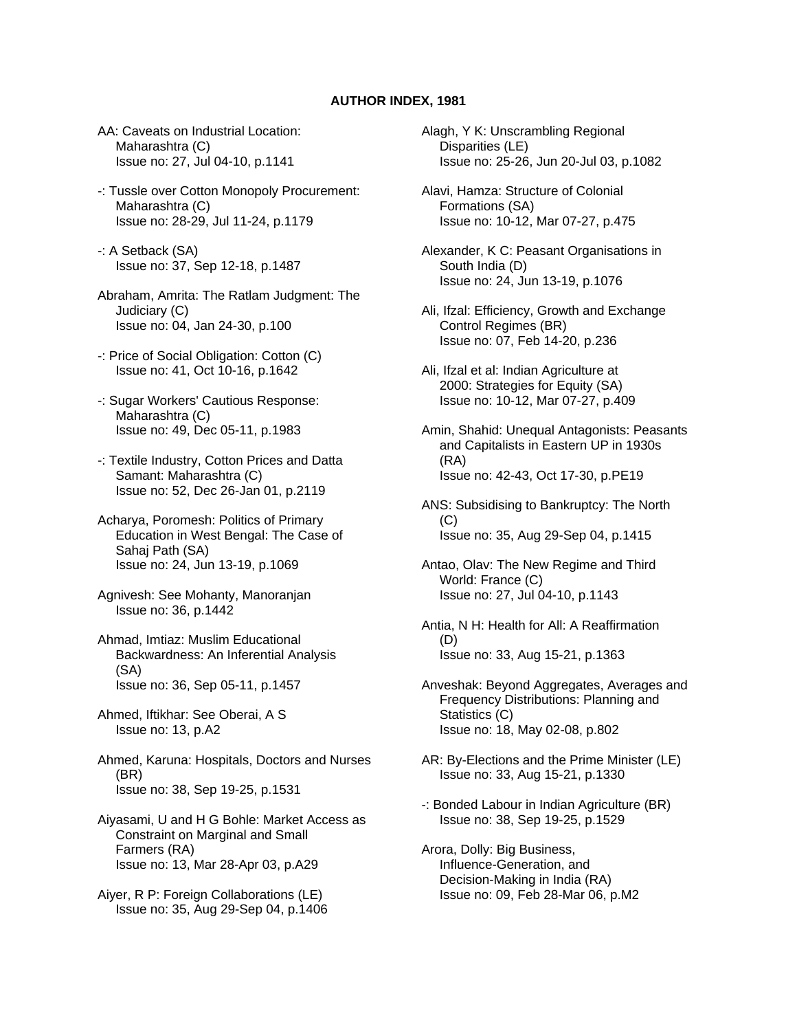## **AUTHOR INDEX, 1981**

- AA: Caveats on Industrial Location: Maharashtra (C) Issue no: 27, Jul 04-10, p.1141
- -: Tussle over Cotton Monopoly Procurement: Maharashtra (C) Issue no: 28-29, Jul 11-24, p.1179
- -: A Setback (SA) Issue no: 37, Sep 12-18, p.1487
- Abraham, Amrita: The Ratlam Judgment: The Judiciary (C) Issue no: 04, Jan 24-30, p.100
- -: Price of Social Obligation: Cotton (C) Issue no: 41, Oct 10-16, p.1642
- -: Sugar Workers' Cautious Response: Maharashtra (C) Issue no: 49, Dec 05-11, p.1983
- -: Textile Industry, Cotton Prices and Datta Samant: Maharashtra (C) Issue no: 52, Dec 26-Jan 01, p.2119
- Acharya, Poromesh: Politics of Primary Education in West Bengal: The Case of Sahaj Path (SA) Issue no: 24, Jun 13-19, p.1069
- Agnivesh: See Mohanty, Manoranjan Issue no: 36, p.1442
- Ahmad, Imtiaz: Muslim Educational Backwardness: An Inferential Analysis (SA) Issue no: 36, Sep 05-11, p.1457
- Ahmed, Iftikhar: See Oberai, A S Issue no: 13, p.A2
- Ahmed, Karuna: Hospitals, Doctors and Nurses (BR) Issue no: 38, Sep 19-25, p.1531
- Aiyasami, U and H G Bohle: Market Access as Constraint on Marginal and Small Farmers (RA) Issue no: 13, Mar 28-Apr 03, p.A29
- Aiyer, R P: Foreign Collaborations (LE) Issue no: 35, Aug 29-Sep 04, p.1406
- Alagh, Y K: Unscrambling Regional Disparities (LE) Issue no: 25-26, Jun 20-Jul 03, p.1082
- Alavi, Hamza: Structure of Colonial Formations (SA) Issue no: 10-12, Mar 07-27, p.475
- Alexander, K C: Peasant Organisations in South India (D) Issue no: 24, Jun 13-19, p.1076
- Ali, Ifzal: Efficiency, Growth and Exchange Control Regimes (BR) Issue no: 07, Feb 14-20, p.236
- Ali, Ifzal et al: Indian Agriculture at 2000: Strategies for Equity (SA) Issue no: 10-12, Mar 07-27, p.409
- Amin, Shahid: Unequal Antagonists: Peasants and Capitalists in Eastern UP in 1930s (RA) Issue no: 42-43, Oct 17-30, p.PE19
- ANS: Subsidising to Bankruptcy: The North (C) Issue no: 35, Aug 29-Sep 04, p.1415
- Antao, Olav: The New Regime and Third World: France (C) Issue no: 27, Jul 04-10, p.1143
- Antia, N H: Health for All: A Reaffirmation (D) Issue no: 33, Aug 15-21, p.1363
- Anveshak: Beyond Aggregates, Averages and Frequency Distributions: Planning and Statistics (C) Issue no: 18, May 02-08, p.802
- AR: By-Elections and the Prime Minister (LE) Issue no: 33, Aug 15-21, p.1330
- -: Bonded Labour in Indian Agriculture (BR) Issue no: 38, Sep 19-25, p.1529
- Arora, Dolly: Big Business, Influence-Generation, and Decision-Making in India (RA) Issue no: 09, Feb 28-Mar 06, p.M2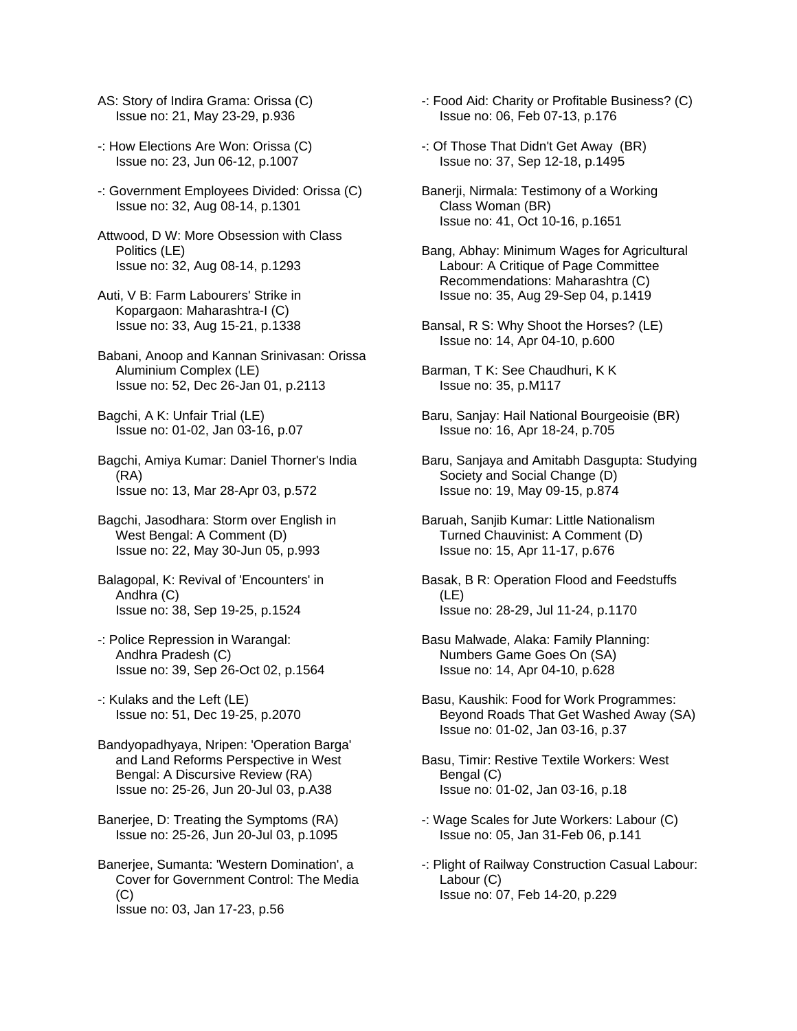- AS: Story of Indira Grama: Orissa (C) Issue no: 21, May 23-29, p.936
- -: How Elections Are Won: Orissa (C) Issue no: 23, Jun 06-12, p.1007
- -: Government Employees Divided: Orissa (C) Issue no: 32, Aug 08-14, p.1301
- Attwood, D W: More Obsession with Class Politics (LE) Issue no: 32, Aug 08-14, p.1293
- Auti, V B: Farm Labourers' Strike in Kopargaon: Maharashtra-I (C) Issue no: 33, Aug 15-21, p.1338
- Babani, Anoop and Kannan Srinivasan: Orissa Aluminium Complex (LE) Issue no: 52, Dec 26-Jan 01, p.2113
- Bagchi, A K: Unfair Trial (LE) Issue no: 01-02, Jan 03-16, p.07
- Bagchi, Amiya Kumar: Daniel Thorner's India (RA) Issue no: 13, Mar 28-Apr 03, p.572
- Bagchi, Jasodhara: Storm over English in West Bengal: A Comment (D) Issue no: 22, May 30-Jun 05, p.993
- Balagopal, K: Revival of 'Encounters' in Andhra (C) Issue no: 38, Sep 19-25, p.1524
- -: Police Repression in Warangal: Andhra Pradesh (C) Issue no: 39, Sep 26-Oct 02, p.1564
- -: Kulaks and the Left (LE) Issue no: 51, Dec 19-25, p.2070
- Bandyopadhyaya, Nripen: 'Operation Barga' and Land Reforms Perspective in West Bengal: A Discursive Review (RA) Issue no: 25-26, Jun 20-Jul 03, p.A38
- Banerjee, D: Treating the Symptoms (RA) Issue no: 25-26, Jun 20-Jul 03, p.1095
- Banerjee, Sumanta: 'Western Domination', a Cover for Government Control: The Media  $(C)$ Issue no: 03, Jan 17-23, p.56
- -: Food Aid: Charity or Profitable Business? (C) Issue no: 06, Feb 07-13, p.176
- -: Of Those That Didn't Get Away (BR) Issue no: 37, Sep 12-18, p.1495
- Banerji, Nirmala: Testimony of a Working Class Woman (BR) Issue no: 41, Oct 10-16, p.1651
- Bang, Abhay: Minimum Wages for Agricultural Labour: A Critique of Page Committee Recommendations: Maharashtra (C) Issue no: 35, Aug 29-Sep 04, p.1419
- Bansal, R S: Why Shoot the Horses? (LE) Issue no: 14, Apr 04-10, p.600
- Barman, T K: See Chaudhuri, K K Issue no: 35, p.M117
- Baru, Sanjay: Hail National Bourgeoisie (BR) Issue no: 16, Apr 18-24, p.705
- Baru, Sanjaya and Amitabh Dasgupta: Studying Society and Social Change (D) Issue no: 19, May 09-15, p.874
- Baruah, Sanjib Kumar: Little Nationalism Turned Chauvinist: A Comment (D) Issue no: 15, Apr 11-17, p.676
- Basak, B R: Operation Flood and Feedstuffs (LE) Issue no: 28-29, Jul 11-24, p.1170
- Basu Malwade, Alaka: Family Planning: Numbers Game Goes On (SA) Issue no: 14, Apr 04-10, p.628
- Basu, Kaushik: Food for Work Programmes: Beyond Roads That Get Washed Away (SA) Issue no: 01-02, Jan 03-16, p.37
- Basu, Timir: Restive Textile Workers: West Bengal (C) Issue no: 01-02, Jan 03-16, p.18
- -: Wage Scales for Jute Workers: Labour (C) Issue no: 05, Jan 31-Feb 06, p.141
- -: Plight of Railway Construction Casual Labour: Labour (C) Issue no: 07, Feb 14-20, p.229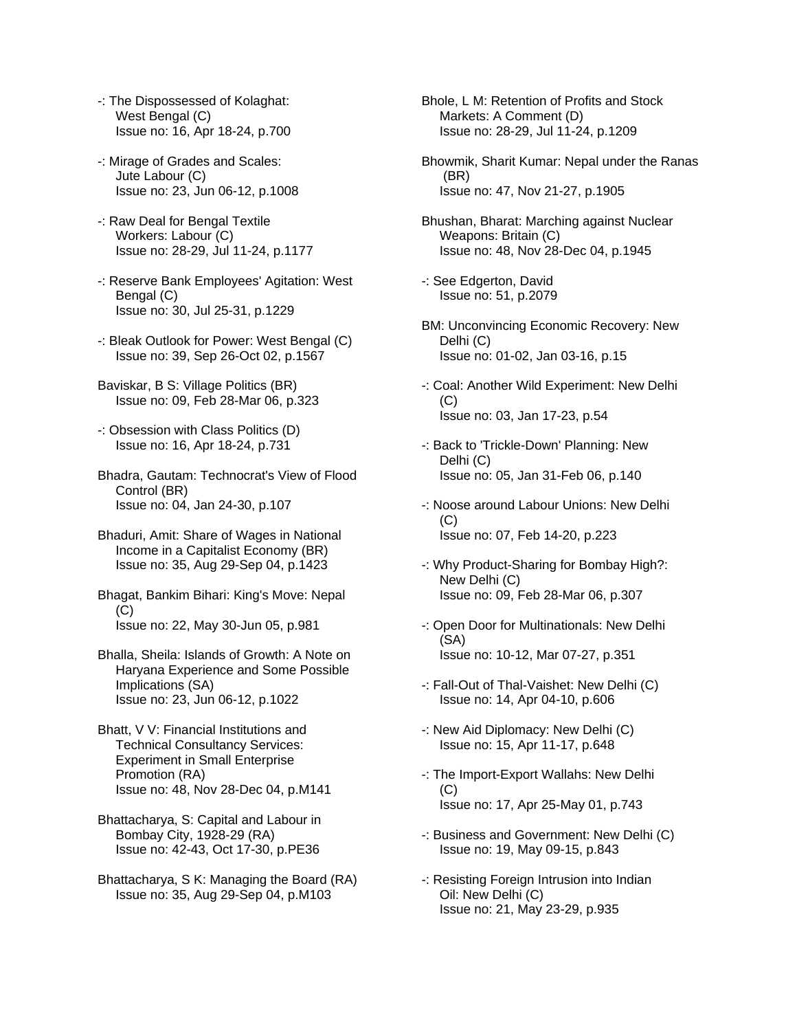- -: The Dispossessed of Kolaghat: West Bengal (C) Issue no: 16, Apr 18-24, p.700
- -: Mirage of Grades and Scales: Jute Labour (C) Issue no: 23, Jun 06-12, p.1008
- -: Raw Deal for Bengal Textile Workers: Labour (C) Issue no: 28-29, Jul 11-24, p.1177
- -: Reserve Bank Employees' Agitation: West Bengal (C) Issue no: 30, Jul 25-31, p.1229
- -: Bleak Outlook for Power: West Bengal (C) Issue no: 39, Sep 26-Oct 02, p.1567
- Baviskar, B S: Village Politics (BR) Issue no: 09, Feb 28-Mar 06, p.323
- -: Obsession with Class Politics (D) Issue no: 16, Apr 18-24, p.731
- Bhadra, Gautam: Technocrat's View of Flood Control (BR) Issue no: 04, Jan 24-30, p.107
- Bhaduri, Amit: Share of Wages in National Income in a Capitalist Economy (BR) Issue no: 35, Aug 29-Sep 04, p.1423
- Bhagat, Bankim Bihari: King's Move: Nepal  $(C)$ Issue no: 22, May 30-Jun 05, p.981
- Bhalla, Sheila: Islands of Growth: A Note on Haryana Experience and Some Possible Implications (SA) Issue no: 23, Jun 06-12, p.1022
- Bhatt, V V: Financial Institutions and Technical Consultancy Services: Experiment in Small Enterprise Promotion (RA) Issue no: 48, Nov 28-Dec 04, p.M141
- Bhattacharya, S: Capital and Labour in Bombay City, 1928-29 (RA) Issue no: 42-43, Oct 17-30, p.PE36
- Bhattacharya, S K: Managing the Board (RA) Issue no: 35, Aug 29-Sep 04, p.M103

Bhole, L M: Retention of Profits and Stock Markets: A Comment (D) Issue no: 28-29, Jul 11-24, p.1209

- Bhowmik, Sharit Kumar: Nepal under the Ranas (BR) Issue no: 47, Nov 21-27, p.1905
- Bhushan, Bharat: Marching against Nuclear Weapons: Britain (C) Issue no: 48, Nov 28-Dec 04, p.1945
- -: See Edgerton, David Issue no: 51, p.2079
- BM: Unconvincing Economic Recovery: New Delhi (C) Issue no: 01-02, Jan 03-16, p.15
- -: Coal: Another Wild Experiment: New Delhi (C) Issue no: 03, Jan 17-23, p.54
- -: Back to 'Trickle-Down' Planning: New Delhi (C) Issue no: 05, Jan 31-Feb 06, p.140
- -: Noose around Labour Unions: New Delhi (C) Issue no: 07, Feb 14-20, p.223
- -: Why Product-Sharing for Bombay High?: New Delhi (C) Issue no: 09, Feb 28-Mar 06, p.307
- -: Open Door for Multinationals: New Delhi (SA) Issue no: 10-12, Mar 07-27, p.351
- -: Fall-Out of Thal-Vaishet: New Delhi (C) Issue no: 14, Apr 04-10, p.606
- -: New Aid Diplomacy: New Delhi (C) Issue no: 15, Apr 11-17, p.648
- -: The Import-Export Wallahs: New Delhi (C) Issue no: 17, Apr 25-May 01, p.743
- -: Business and Government: New Delhi (C) Issue no: 19, May 09-15, p.843
- -: Resisting Foreign Intrusion into Indian Oil: New Delhi (C) Issue no: 21, May 23-29, p.935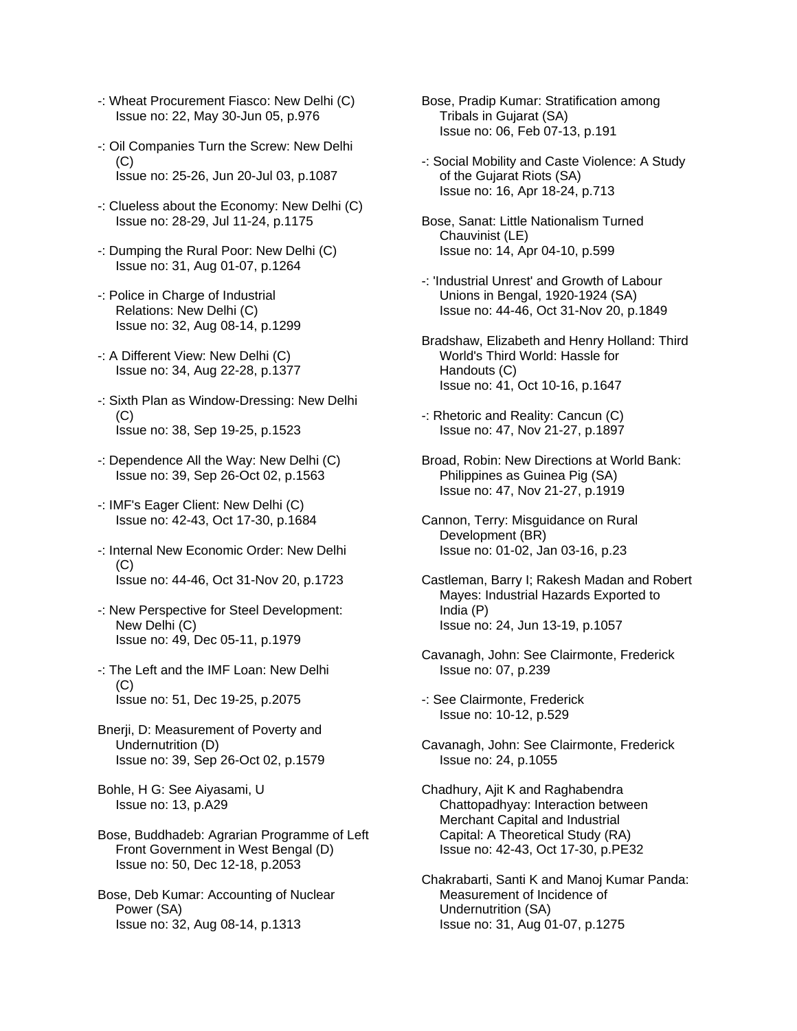- -: Wheat Procurement Fiasco: New Delhi (C) Issue no: 22, May 30-Jun 05, p.976
- -: Oil Companies Turn the Screw: New Delhi  $(C)$ Issue no: 25-26, Jun 20-Jul 03, p.1087
- -: Clueless about the Economy: New Delhi (C) Issue no: 28-29, Jul 11-24, p.1175
- -: Dumping the Rural Poor: New Delhi (C) Issue no: 31, Aug 01-07, p.1264
- -: Police in Charge of Industrial Relations: New Delhi (C) Issue no: 32, Aug 08-14, p.1299
- -: A Different View: New Delhi (C) Issue no: 34, Aug 22-28, p.1377
- -: Sixth Plan as Window-Dressing: New Delhi  $(C)$ Issue no: 38, Sep 19-25, p.1523
- -: Dependence All the Way: New Delhi (C) Issue no: 39, Sep 26-Oct 02, p.1563
- -: IMF's Eager Client: New Delhi (C) Issue no: 42-43, Oct 17-30, p.1684
- -: Internal New Economic Order: New Delhi (C) Issue no: 44-46, Oct 31-Nov 20, p.1723
- -: New Perspective for Steel Development: New Delhi (C) Issue no: 49, Dec 05-11, p.1979
- -: The Left and the IMF Loan: New Delhi  $(C)$ Issue no: 51, Dec 19-25, p.2075
- Bnerji, D: Measurement of Poverty and Undernutrition (D) Issue no: 39, Sep 26-Oct 02, p.1579
- Bohle, H G: See Aiyasami, U Issue no: 13, p.A29
- Bose, Buddhadeb: Agrarian Programme of Left Front Government in West Bengal (D) Issue no: 50, Dec 12-18, p.2053

Bose, Deb Kumar: Accounting of Nuclear Power (SA) Issue no: 32, Aug 08-14, p.1313

- Bose, Pradip Kumar: Stratification among Tribals in Gujarat (SA) Issue no: 06, Feb 07-13, p.191
- -: Social Mobility and Caste Violence: A Study of the Gujarat Riots (SA) Issue no: 16, Apr 18-24, p.713
- Bose, Sanat: Little Nationalism Turned Chauvinist (LE) Issue no: 14, Apr 04-10, p.599
- -: 'Industrial Unrest' and Growth of Labour Unions in Bengal, 1920-1924 (SA) Issue no: 44-46, Oct 31-Nov 20, p.1849
- Bradshaw, Elizabeth and Henry Holland: Third World's Third World: Hassle for Handouts (C) Issue no: 41, Oct 10-16, p.1647
- -: Rhetoric and Reality: Cancun (C) Issue no: 47, Nov 21-27, p.1897
- Broad, Robin: New Directions at World Bank: Philippines as Guinea Pig (SA) Issue no: 47, Nov 21-27, p.1919
- Cannon, Terry: Misguidance on Rural Development (BR) Issue no: 01-02, Jan 03-16, p.23
- Castleman, Barry I; Rakesh Madan and Robert Mayes: Industrial Hazards Exported to India (P) Issue no: 24, Jun 13-19, p.1057
- Cavanagh, John: See Clairmonte, Frederick Issue no: 07, p.239
- -: See Clairmonte, Frederick Issue no: 10-12, p.529
- Cavanagh, John: See Clairmonte, Frederick Issue no: 24, p.1055
- Chadhury, Ajit K and Raghabendra Chattopadhyay: Interaction between Merchant Capital and Industrial Capital: A Theoretical Study (RA) Issue no: 42-43, Oct 17-30, p.PE32
- Chakrabarti, Santi K and Manoj Kumar Panda: Measurement of Incidence of Undernutrition (SA) Issue no: 31, Aug 01-07, p.1275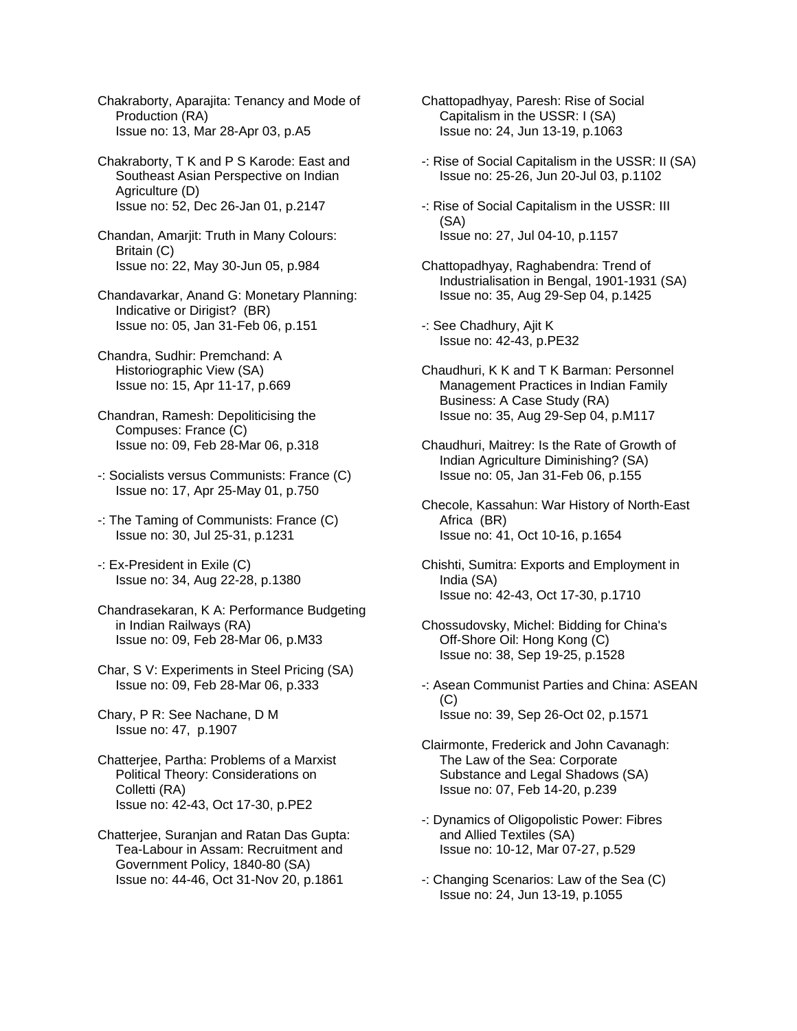Chakraborty, Aparajita: Tenancy and Mode of Production (RA) Issue no: 13, Mar 28-Apr 03, p.A5

Chakraborty, T K and P S Karode: East and Southeast Asian Perspective on Indian Agriculture (D) Issue no: 52, Dec 26-Jan 01, p.2147

Chandan, Amarjit: Truth in Many Colours: Britain (C) Issue no: 22, May 30-Jun 05, p.984

Chandavarkar, Anand G: Monetary Planning: Indicative or Dirigist? (BR) Issue no: 05, Jan 31-Feb 06, p.151

- Chandra, Sudhir: Premchand: A Historiographic View (SA) Issue no: 15, Apr 11-17, p.669
- Chandran, Ramesh: Depoliticising the Compuses: France (C) Issue no: 09, Feb 28-Mar 06, p.318
- -: Socialists versus Communists: France (C) Issue no: 17, Apr 25-May 01, p.750
- -: The Taming of Communists: France (C) Issue no: 30, Jul 25-31, p.1231
- -: Ex-President in Exile (C) Issue no: 34, Aug 22-28, p.1380
- Chandrasekaran, K A: Performance Budgeting in Indian Railways (RA) Issue no: 09, Feb 28-Mar 06, p.M33
- Char, S V: Experiments in Steel Pricing (SA) Issue no: 09, Feb 28-Mar 06, p.333
- Chary, P R: See Nachane, D M Issue no: 47, p.1907
- Chatterjee, Partha: Problems of a Marxist Political Theory: Considerations on Colletti (RA) Issue no: 42-43, Oct 17-30, p.PE2
- Chatterjee, Suranjan and Ratan Das Gupta: Tea-Labour in Assam: Recruitment and Government Policy, 1840-80 (SA) Issue no: 44-46, Oct 31-Nov 20, p.1861
- Chattopadhyay, Paresh: Rise of Social Capitalism in the USSR: I (SA) Issue no: 24, Jun 13-19, p.1063
- -: Rise of Social Capitalism in the USSR: II (SA) Issue no: 25-26, Jun 20-Jul 03, p.1102
- -: Rise of Social Capitalism in the USSR: III (SA) Issue no: 27, Jul 04-10, p.1157
- Chattopadhyay, Raghabendra: Trend of Industrialisation in Bengal, 1901-1931 (SA) Issue no: 35, Aug 29-Sep 04, p.1425
- -: See Chadhury, Ajit K Issue no: 42-43, p.PE32
- Chaudhuri, K K and T K Barman: Personnel Management Practices in Indian Family Business: A Case Study (RA) Issue no: 35, Aug 29-Sep 04, p.M117
- Chaudhuri, Maitrey: Is the Rate of Growth of Indian Agriculture Diminishing? (SA) Issue no: 05, Jan 31-Feb 06, p.155
- Checole, Kassahun: War History of North-East Africa (BR) Issue no: 41, Oct 10-16, p.1654
- Chishti, Sumitra: Exports and Employment in India (SA) Issue no: 42-43, Oct 17-30, p.1710
- Chossudovsky, Michel: Bidding for China's Off-Shore Oil: Hong Kong (C) Issue no: 38, Sep 19-25, p.1528
- -: Asean Communist Parties and China: ASEAN (C) Issue no: 39, Sep 26-Oct 02, p.1571
- Clairmonte, Frederick and John Cavanagh: The Law of the Sea: Corporate Substance and Legal Shadows (SA) Issue no: 07, Feb 14-20, p.239
- -: Dynamics of Oligopolistic Power: Fibres and Allied Textiles (SA) Issue no: 10-12, Mar 07-27, p.529
- -: Changing Scenarios: Law of the Sea (C) Issue no: 24, Jun 13-19, p.1055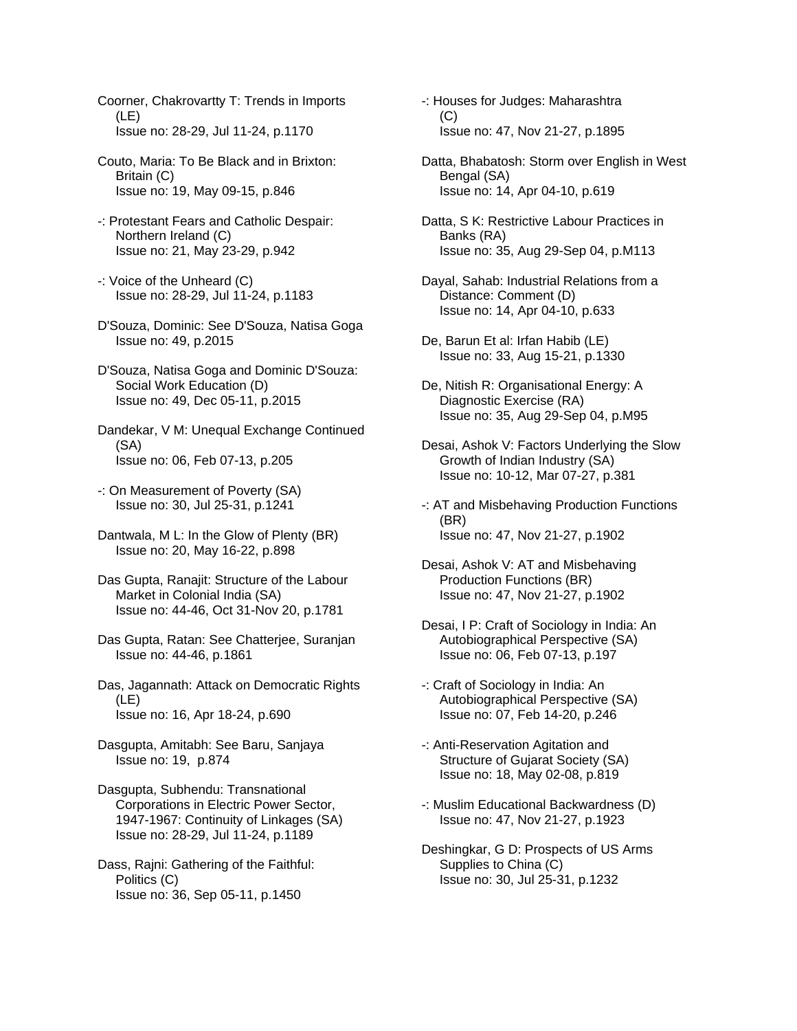Coorner, Chakrovartty T: Trends in Imports (LE) Issue no: 28-29, Jul 11-24, p.1170

- Couto, Maria: To Be Black and in Brixton: Britain (C) Issue no: 19, May 09-15, p.846
- -: Protestant Fears and Catholic Despair: Northern Ireland (C) Issue no: 21, May 23-29, p.942
- -: Voice of the Unheard (C) Issue no: 28-29, Jul 11-24, p.1183
- D'Souza, Dominic: See D'Souza, Natisa Goga Issue no: 49, p.2015
- D'Souza, Natisa Goga and Dominic D'Souza: Social Work Education (D) Issue no: 49, Dec 05-11, p.2015
- Dandekar, V M: Unequal Exchange Continued (SA) Issue no: 06, Feb 07-13, p.205
- -: On Measurement of Poverty (SA) Issue no: 30, Jul 25-31, p.1241
- Dantwala, M L: In the Glow of Plenty (BR) Issue no: 20, May 16-22, p.898
- Das Gupta, Ranajit: Structure of the Labour Market in Colonial India (SA) Issue no: 44-46, Oct 31-Nov 20, p.1781
- Das Gupta, Ratan: See Chatterjee, Suranjan Issue no: 44-46, p.1861
- Das, Jagannath: Attack on Democratic Rights (LE) Issue no: 16, Apr 18-24, p.690
- Dasgupta, Amitabh: See Baru, Sanjaya Issue no: 19, p.874

Dasgupta, Subhendu: Transnational Corporations in Electric Power Sector, 1947-1967: Continuity of Linkages (SA) Issue no: 28-29, Jul 11-24, p.1189

Dass, Rajni: Gathering of the Faithful: Politics (C) Issue no: 36, Sep 05-11, p.1450

-: Houses for Judges: Maharashtra (C) Issue no: 47, Nov 21-27, p.1895

- Datta, Bhabatosh: Storm over English in West Bengal (SA) Issue no: 14, Apr 04-10, p.619
- Datta, S K: Restrictive Labour Practices in Banks (RA) Issue no: 35, Aug 29-Sep 04, p.M113
- Dayal, Sahab: Industrial Relations from a Distance: Comment (D) Issue no: 14, Apr 04-10, p.633
- De, Barun Et al: Irfan Habib (LE) Issue no: 33, Aug 15-21, p.1330
- De, Nitish R: Organisational Energy: A Diagnostic Exercise (RA) Issue no: 35, Aug 29-Sep 04, p.M95
- Desai, Ashok V: Factors Underlying the Slow Growth of Indian Industry (SA) Issue no: 10-12, Mar 07-27, p.381
- -: AT and Misbehaving Production Functions (BR) Issue no: 47, Nov 21-27, p.1902
- Desai, Ashok V: AT and Misbehaving Production Functions (BR) Issue no: 47, Nov 21-27, p.1902
- Desai, I P: Craft of Sociology in India: An Autobiographical Perspective (SA) Issue no: 06, Feb 07-13, p.197
- -: Craft of Sociology in India: An Autobiographical Perspective (SA) Issue no: 07, Feb 14-20, p.246
- -: Anti-Reservation Agitation and Structure of Gujarat Society (SA) Issue no: 18, May 02-08, p.819
- -: Muslim Educational Backwardness (D) Issue no: 47, Nov 21-27, p.1923
- Deshingkar, G D: Prospects of US Arms Supplies to China (C) Issue no: 30, Jul 25-31, p.1232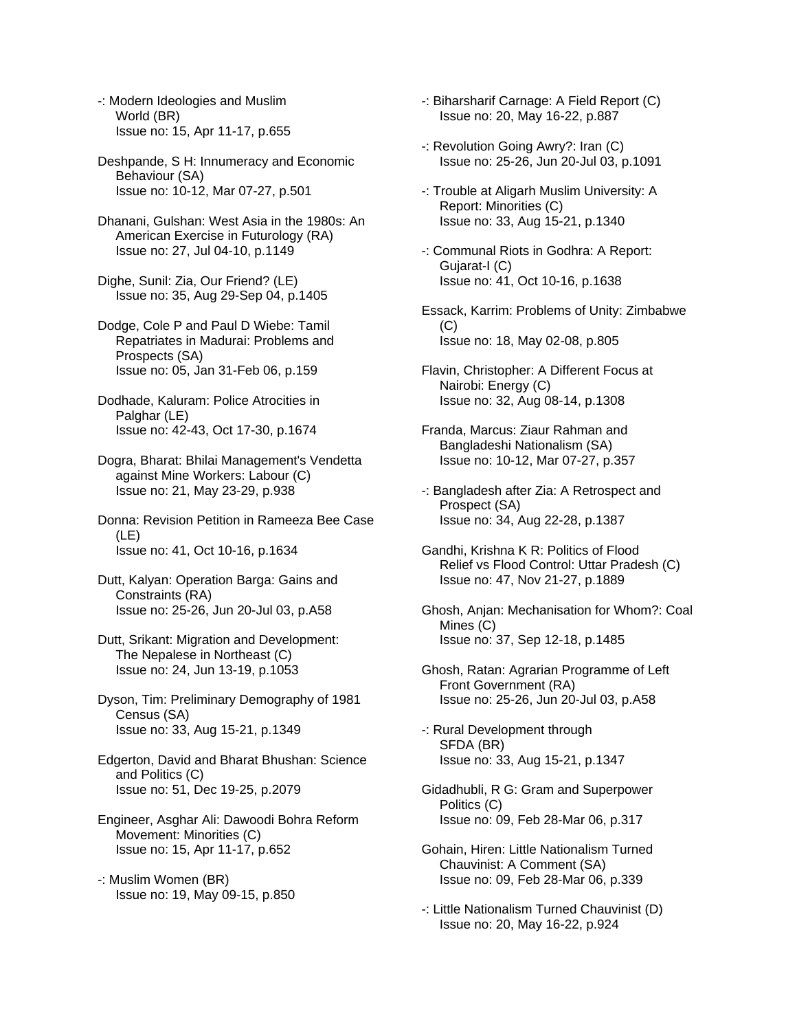-: Modern Ideologies and Muslim World (BR) Issue no: 15, Apr 11-17, p.655

Deshpande, S H: Innumeracy and Economic Behaviour (SA) Issue no: 10-12, Mar 07-27, p.501

Dhanani, Gulshan: West Asia in the 1980s: An American Exercise in Futurology (RA) Issue no: 27, Jul 04-10, p.1149

Dighe, Sunil: Zia, Our Friend? (LE) Issue no: 35, Aug 29-Sep 04, p.1405

Dodge, Cole P and Paul D Wiebe: Tamil Repatriates in Madurai: Problems and Prospects (SA) Issue no: 05, Jan 31-Feb 06, p.159

Dodhade, Kaluram: Police Atrocities in Palghar (LE) Issue no: 42-43, Oct 17-30, p.1674

Dogra, Bharat: Bhilai Management's Vendetta against Mine Workers: Labour (C) Issue no: 21, May 23-29, p.938

Donna: Revision Petition in Rameeza Bee Case (LE) Issue no: 41, Oct 10-16, p.1634

Dutt, Kalyan: Operation Barga: Gains and Constraints (RA) Issue no: 25-26, Jun 20-Jul 03, p.A58

Dutt, Srikant: Migration and Development: The Nepalese in Northeast (C) Issue no: 24, Jun 13-19, p.1053

Dyson, Tim: Preliminary Demography of 1981 Census (SA) Issue no: 33, Aug 15-21, p.1349

Edgerton, David and Bharat Bhushan: Science and Politics (C) Issue no: 51, Dec 19-25, p.2079

Engineer, Asghar Ali: Dawoodi Bohra Reform Movement: Minorities (C) Issue no: 15, Apr 11-17, p.652

-: Muslim Women (BR) Issue no: 19, May 09-15, p.850 -: Biharsharif Carnage: A Field Report (C) Issue no: 20, May 16-22, p.887

-: Revolution Going Awry?: Iran (C) Issue no: 25-26, Jun 20-Jul 03, p.1091

-: Trouble at Aligarh Muslim University: A Report: Minorities (C) Issue no: 33, Aug 15-21, p.1340

-: Communal Riots in Godhra: A Report: Gujarat-I (C) Issue no: 41, Oct 10-16, p.1638

Essack, Karrim: Problems of Unity: Zimbabwe  $(C)$ Issue no: 18, May 02-08, p.805

Flavin, Christopher: A Different Focus at Nairobi: Energy (C) Issue no: 32, Aug 08-14, p.1308

Franda, Marcus: Ziaur Rahman and Bangladeshi Nationalism (SA) Issue no: 10-12, Mar 07-27, p.357

-: Bangladesh after Zia: A Retrospect and Prospect (SA) Issue no: 34, Aug 22-28, p.1387

Gandhi, Krishna K R: Politics of Flood Relief vs Flood Control: Uttar Pradesh (C) Issue no: 47, Nov 21-27, p.1889

Ghosh, Anjan: Mechanisation for Whom?: Coal Mines (C) Issue no: 37, Sep 12-18, p.1485

Ghosh, Ratan: Agrarian Programme of Left Front Government (RA) Issue no: 25-26, Jun 20-Jul 03, p.A58

-: Rural Development through SFDA (BR) Issue no: 33, Aug 15-21, p.1347

Gidadhubli, R G: Gram and Superpower Politics (C) Issue no: 09, Feb 28-Mar 06, p.317

Gohain, Hiren: Little Nationalism Turned Chauvinist: A Comment (SA) Issue no: 09, Feb 28-Mar 06, p.339

-: Little Nationalism Turned Chauvinist (D) Issue no: 20, May 16-22, p.924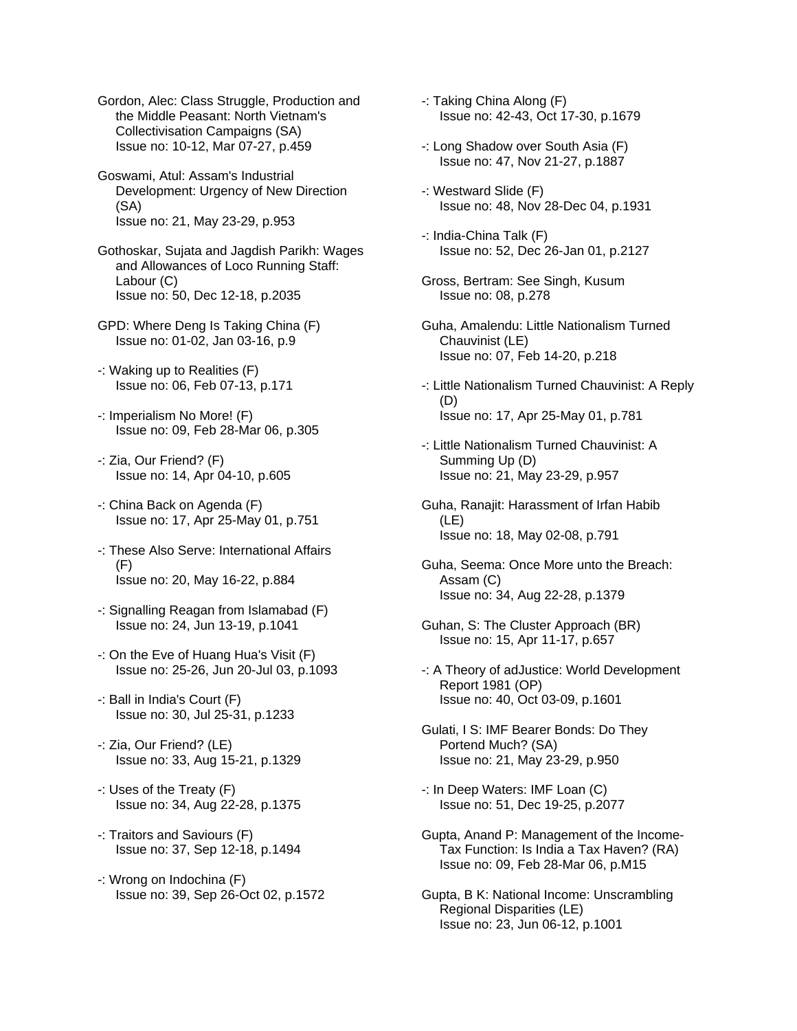Gordon, Alec: Class Struggle, Production and the Middle Peasant: North Vietnam's Collectivisation Campaigns (SA) Issue no: 10-12, Mar 07-27, p.459

Goswami, Atul: Assam's Industrial Development: Urgency of New Direction (SA) Issue no: 21, May 23-29, p.953

Gothoskar, Sujata and Jagdish Parikh: Wages and Allowances of Loco Running Staff: Labour (C) Issue no: 50, Dec 12-18, p.2035

GPD: Where Deng Is Taking China (F) Issue no: 01-02, Jan 03-16, p.9

- -: Waking up to Realities (F) Issue no: 06, Feb 07-13, p.171
- -: Imperialism No More! (F) Issue no: 09, Feb 28-Mar 06, p.305
- -: Zia, Our Friend? (F) Issue no: 14, Apr 04-10, p.605
- -: China Back on Agenda (F) Issue no: 17, Apr 25-May 01, p.751
- -: These Also Serve: International Affairs (F) Issue no: 20, May 16-22, p.884
- -: Signalling Reagan from Islamabad (F) Issue no: 24, Jun 13-19, p.1041
- -: On the Eve of Huang Hua's Visit (F) Issue no: 25-26, Jun 20-Jul 03, p.1093
- -: Ball in India's Court (F) Issue no: 30, Jul 25-31, p.1233
- -: Zia, Our Friend? (LE) Issue no: 33, Aug 15-21, p.1329
- -: Uses of the Treaty (F) Issue no: 34, Aug 22-28, p.1375
- -: Traitors and Saviours (F) Issue no: 37, Sep 12-18, p.1494
- -: Wrong on Indochina (F) Issue no: 39, Sep 26-Oct 02, p.1572

-: Taking China Along (F) Issue no: 42-43, Oct 17-30, p.1679

- -: Long Shadow over South Asia (F) Issue no: 47, Nov 21-27, p.1887
- -: Westward Slide (F) Issue no: 48, Nov 28-Dec 04, p.1931
- -: India-China Talk (F) Issue no: 52, Dec 26-Jan 01, p.2127
- Gross, Bertram: See Singh, Kusum Issue no: 08, p.278
- Guha, Amalendu: Little Nationalism Turned Chauvinist (LE) Issue no: 07, Feb 14-20, p.218
- -: Little Nationalism Turned Chauvinist: A Reply (D) Issue no: 17, Apr 25-May 01, p.781
- -: Little Nationalism Turned Chauvinist: A Summing Up (D) Issue no: 21, May 23-29, p.957
- Guha, Ranajit: Harassment of Irfan Habib (LE) Issue no: 18, May 02-08, p.791
- Guha, Seema: Once More unto the Breach: Assam (C) Issue no: 34, Aug 22-28, p.1379
- Guhan, S: The Cluster Approach (BR) Issue no: 15, Apr 11-17, p.657
- -: A Theory of adJustice: World Development Report 1981 (OP) Issue no: 40, Oct 03-09, p.1601
- Gulati, I S: IMF Bearer Bonds: Do They Portend Much? (SA) Issue no: 21, May 23-29, p.950
- -: In Deep Waters: IMF Loan (C) Issue no: 51, Dec 19-25, p.2077
- Gupta, Anand P: Management of the Income- Tax Function: Is India a Tax Haven? (RA) Issue no: 09, Feb 28-Mar 06, p.M15
- Gupta, B K: National Income: Unscrambling Regional Disparities (LE) Issue no: 23, Jun 06-12, p.1001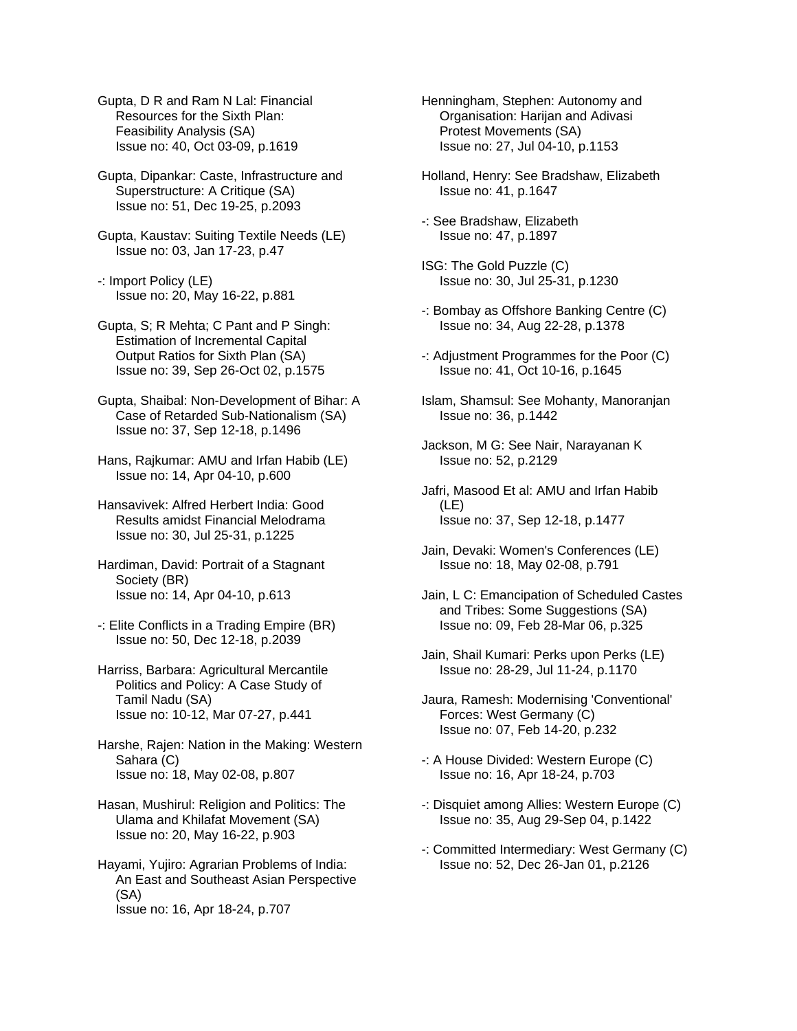Gupta, D R and Ram N Lal: Financial Resources for the Sixth Plan: Feasibility Analysis (SA) Issue no: 40, Oct 03-09, p.1619

Gupta, Dipankar: Caste, Infrastructure and Superstructure: A Critique (SA) Issue no: 51, Dec 19-25, p.2093

Gupta, Kaustav: Suiting Textile Needs (LE) Issue no: 03, Jan 17-23, p.47

-: Import Policy (LE) Issue no: 20, May 16-22, p.881

Gupta, S; R Mehta; C Pant and P Singh: Estimation of Incremental Capital Output Ratios for Sixth Plan (SA) Issue no: 39, Sep 26-Oct 02, p.1575

Gupta, Shaibal: Non-Development of Bihar: A Case of Retarded Sub-Nationalism (SA) Issue no: 37, Sep 12-18, p.1496

Hans, Rajkumar: AMU and Irfan Habib (LE) Issue no: 14, Apr 04-10, p.600

Hansavivek: Alfred Herbert India: Good Results amidst Financial Melodrama Issue no: 30, Jul 25-31, p.1225

Hardiman, David: Portrait of a Stagnant Society (BR) Issue no: 14, Apr 04-10, p.613

-: Elite Conflicts in a Trading Empire (BR) Issue no: 50, Dec 12-18, p.2039

Harriss, Barbara: Agricultural Mercantile Politics and Policy: A Case Study of Tamil Nadu (SA) Issue no: 10-12, Mar 07-27, p.441

Harshe, Rajen: Nation in the Making: Western Sahara (C) Issue no: 18, May 02-08, p.807

Hasan, Mushirul: Religion and Politics: The Ulama and Khilafat Movement (SA) Issue no: 20, May 16-22, p.903

Hayami, Yujiro: Agrarian Problems of India: An East and Southeast Asian Perspective (SA) Issue no: 16, Apr 18-24, p.707

Henningham, Stephen: Autonomy and Organisation: Harijan and Adivasi Protest Movements (SA) Issue no: 27, Jul 04-10, p.1153

Holland, Henry: See Bradshaw, Elizabeth Issue no: 41, p.1647

-: See Bradshaw, Elizabeth Issue no: 47, p.1897

ISG: The Gold Puzzle (C) Issue no: 30, Jul 25-31, p.1230

- -: Bombay as Offshore Banking Centre (C) Issue no: 34, Aug 22-28, p.1378
- -: Adjustment Programmes for the Poor (C) Issue no: 41, Oct 10-16, p.1645
- Islam, Shamsul: See Mohanty, Manoranjan Issue no: 36, p.1442
- Jackson, M G: See Nair, Narayanan K Issue no: 52, p.2129
- Jafri, Masood Et al: AMU and Irfan Habib (LE) Issue no: 37, Sep 12-18, p.1477
- Jain, Devaki: Women's Conferences (LE) Issue no: 18, May 02-08, p.791
- Jain, L C: Emancipation of Scheduled Castes and Tribes: Some Suggestions (SA) Issue no: 09, Feb 28-Mar 06, p.325
- Jain, Shail Kumari: Perks upon Perks (LE) Issue no: 28-29, Jul 11-24, p.1170
- Jaura, Ramesh: Modernising 'Conventional' Forces: West Germany (C) Issue no: 07, Feb 14-20, p.232
- -: A House Divided: Western Europe (C) Issue no: 16, Apr 18-24, p.703
- -: Disquiet among Allies: Western Europe (C) Issue no: 35, Aug 29-Sep 04, p.1422
- -: Committed Intermediary: West Germany (C) Issue no: 52, Dec 26-Jan 01, p.2126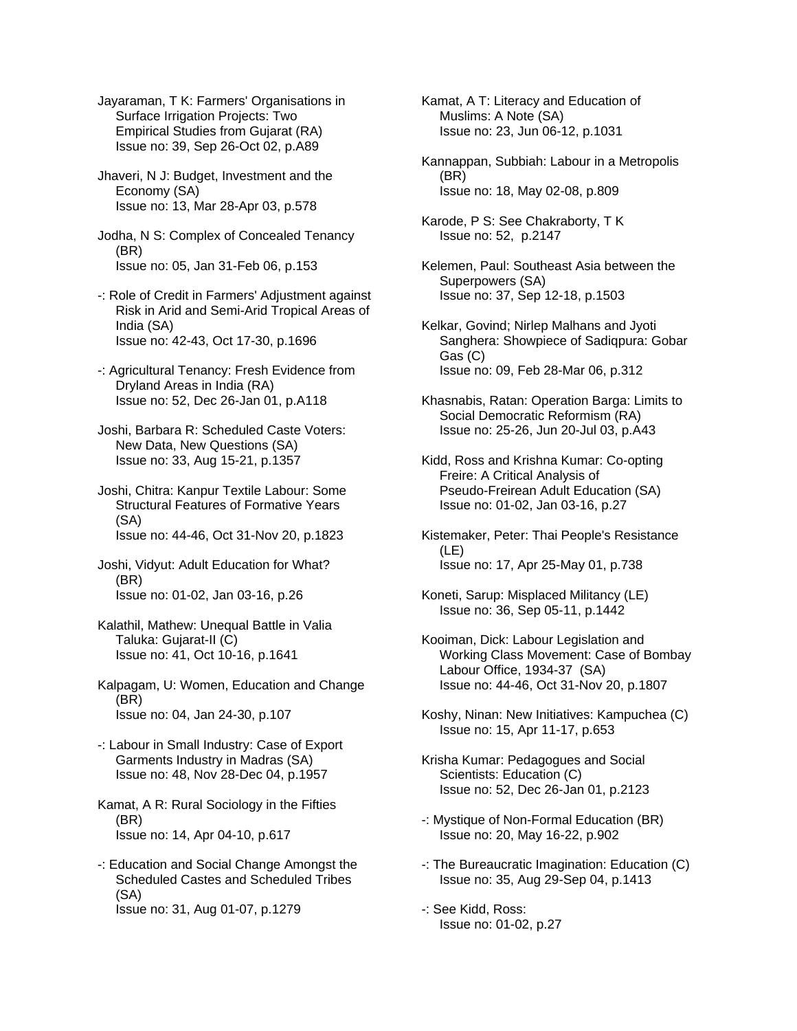Jayaraman, T K: Farmers' Organisations in Surface Irrigation Projects: Two Empirical Studies from Gujarat (RA) Issue no: 39, Sep 26-Oct 02, p.A89

Jhaveri, N J: Budget, Investment and the Economy (SA) Issue no: 13, Mar 28-Apr 03, p.578

Jodha, N S: Complex of Concealed Tenancy (BR) Issue no: 05, Jan 31-Feb 06, p.153

- -: Role of Credit in Farmers' Adjustment against Risk in Arid and Semi-Arid Tropical Areas of India (SA) Issue no: 42-43, Oct 17-30, p.1696
- -: Agricultural Tenancy: Fresh Evidence from Dryland Areas in India (RA) Issue no: 52, Dec 26-Jan 01, p.A118
- Joshi, Barbara R: Scheduled Caste Voters: New Data, New Questions (SA) Issue no: 33, Aug 15-21, p.1357
- Joshi, Chitra: Kanpur Textile Labour: Some Structural Features of Formative Years (SA) Issue no: 44-46, Oct 31-Nov 20, p.1823
- Joshi, Vidyut: Adult Education for What? (BR) Issue no: 01-02, Jan 03-16, p.26
- Kalathil, Mathew: Unequal Battle in Valia Taluka: Gujarat-II (C) Issue no: 41, Oct 10-16, p.1641
- Kalpagam, U: Women, Education and Change (BR) Issue no: 04, Jan 24-30, p.107
- -: Labour in Small Industry: Case of Export Garments Industry in Madras (SA) Issue no: 48, Nov 28-Dec 04, p.1957

Kamat, A R: Rural Sociology in the Fifties (BR) Issue no: 14, Apr 04-10, p.617

-: Education and Social Change Amongst the Scheduled Castes and Scheduled Tribes (SA) Issue no: 31, Aug 01-07, p.1279

Kamat, A T: Literacy and Education of Muslims: A Note (SA) Issue no: 23, Jun 06-12, p.1031

- Kannappan, Subbiah: Labour in a Metropolis (BR) Issue no: 18, May 02-08, p.809
- Karode, P S: See Chakraborty, T K Issue no: 52, p.2147
- Kelemen, Paul: Southeast Asia between the Superpowers (SA) Issue no: 37, Sep 12-18, p.1503
- Kelkar, Govind; Nirlep Malhans and Jyoti Sanghera: Showpiece of Sadiqpura: Gobar Gas (C) Issue no: 09, Feb 28-Mar 06, p.312
- Khasnabis, Ratan: Operation Barga: Limits to Social Democratic Reformism (RA) Issue no: 25-26, Jun 20-Jul 03, p.A43
- Kidd, Ross and Krishna Kumar: Co-opting Freire: A Critical Analysis of Pseudo-Freirean Adult Education (SA) Issue no: 01-02, Jan 03-16, p.27
- Kistemaker, Peter: Thai People's Resistance (LE) Issue no: 17, Apr 25-May 01, p.738
- Koneti, Sarup: Misplaced Militancy (LE) Issue no: 36, Sep 05-11, p.1442
- Kooiman, Dick: Labour Legislation and Working Class Movement: Case of Bombay Labour Office, 1934-37 (SA) Issue no: 44-46, Oct 31-Nov 20, p.1807
- Koshy, Ninan: New Initiatives: Kampuchea (C) Issue no: 15, Apr 11-17, p.653
- Krisha Kumar: Pedagogues and Social Scientists: Education (C) Issue no: 52, Dec 26-Jan 01, p.2123
- -: Mystique of Non-Formal Education (BR) Issue no: 20, May 16-22, p.902
- -: The Bureaucratic Imagination: Education (C) Issue no: 35, Aug 29-Sep 04, p.1413
- -: See Kidd, Ross: Issue no: 01-02, p.27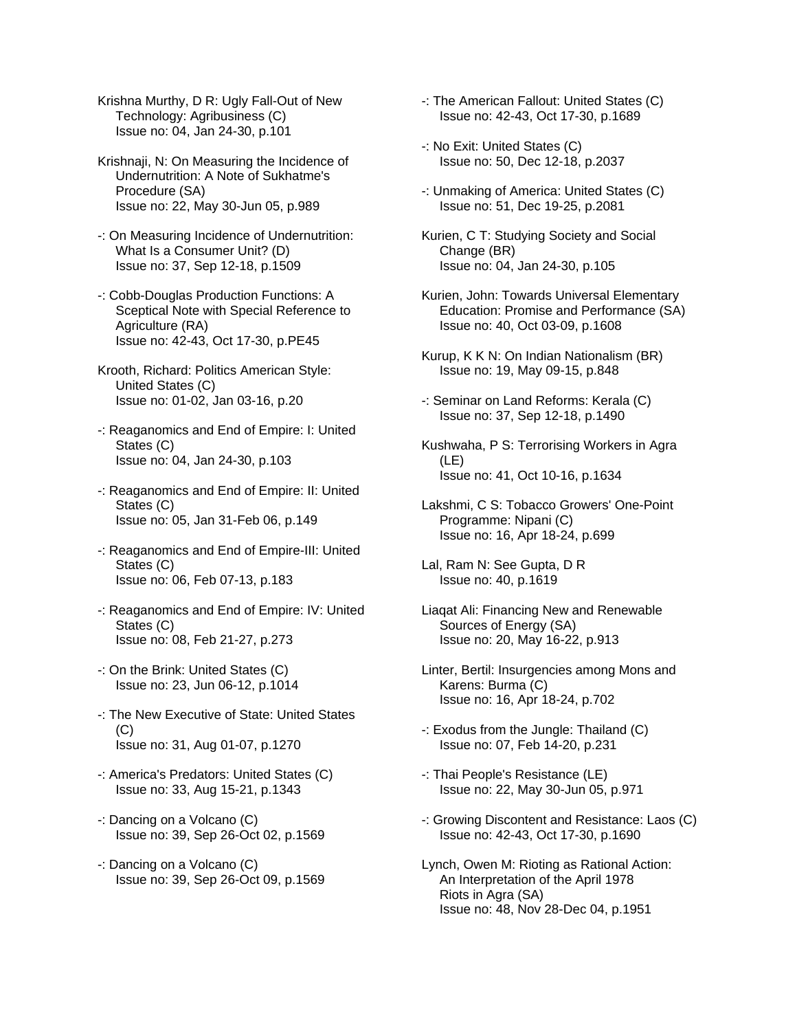Krishna Murthy, D R: Ugly Fall-Out of New Technology: Agribusiness (C) Issue no: 04, Jan 24-30, p.101

- Krishnaji, N: On Measuring the Incidence of Undernutrition: A Note of Sukhatme's Procedure (SA) Issue no: 22, May 30-Jun 05, p.989
- -: On Measuring Incidence of Undernutrition: What Is a Consumer Unit? (D) Issue no: 37, Sep 12-18, p.1509
- -: Cobb-Douglas Production Functions: A Sceptical Note with Special Reference to Agriculture (RA) Issue no: 42-43, Oct 17-30, p.PE45
- Krooth, Richard: Politics American Style: United States (C) Issue no: 01-02, Jan 03-16, p.20
- -: Reaganomics and End of Empire: I: United States (C) Issue no: 04, Jan 24-30, p.103
- -: Reaganomics and End of Empire: II: United States (C) Issue no: 05, Jan 31-Feb 06, p.149
- -: Reaganomics and End of Empire-III: United States (C) Issue no: 06, Feb 07-13, p.183
- -: Reaganomics and End of Empire: IV: United States (C) Issue no: 08, Feb 21-27, p.273
- -: On the Brink: United States (C) Issue no: 23, Jun 06-12, p.1014
- -: The New Executive of State: United States  $(C)$ Issue no: 31, Aug 01-07, p.1270
- -: America's Predators: United States (C) Issue no: 33, Aug 15-21, p.1343
- -: Dancing on a Volcano (C) Issue no: 39, Sep 26-Oct 02, p.1569
- -: Dancing on a Volcano (C) Issue no: 39, Sep 26-Oct 09, p.1569
- -: The American Fallout: United States (C) Issue no: 42-43, Oct 17-30, p.1689
- -: No Exit: United States (C) Issue no: 50, Dec 12-18, p.2037
- -: Unmaking of America: United States (C) Issue no: 51, Dec 19-25, p.2081
- Kurien, C T: Studying Society and Social Change (BR) Issue no: 04, Jan 24-30, p.105
- Kurien, John: Towards Universal Elementary Education: Promise and Performance (SA) Issue no: 40, Oct 03-09, p.1608
- Kurup, K K N: On Indian Nationalism (BR) Issue no: 19, May 09-15, p.848
- -: Seminar on Land Reforms: Kerala (C) Issue no: 37, Sep 12-18, p.1490
- Kushwaha, P S: Terrorising Workers in Agra (LE) Issue no: 41, Oct 10-16, p.1634
- Lakshmi, C S: Tobacco Growers' One-Point Programme: Nipani (C) Issue no: 16, Apr 18-24, p.699
- Lal, Ram N: See Gupta, D R Issue no: 40, p.1619
- Liaqat Ali: Financing New and Renewable Sources of Energy (SA) Issue no: 20, May 16-22, p.913
- Linter, Bertil: Insurgencies among Mons and Karens: Burma (C) Issue no: 16, Apr 18-24, p.702
- -: Exodus from the Jungle: Thailand (C) Issue no: 07, Feb 14-20, p.231
- -: Thai People's Resistance (LE) Issue no: 22, May 30-Jun 05, p.971
- -: Growing Discontent and Resistance: Laos (C) Issue no: 42-43, Oct 17-30, p.1690
- Lynch, Owen M: Rioting as Rational Action: An Interpretation of the April 1978 Riots in Agra (SA) Issue no: 48, Nov 28-Dec 04, p.1951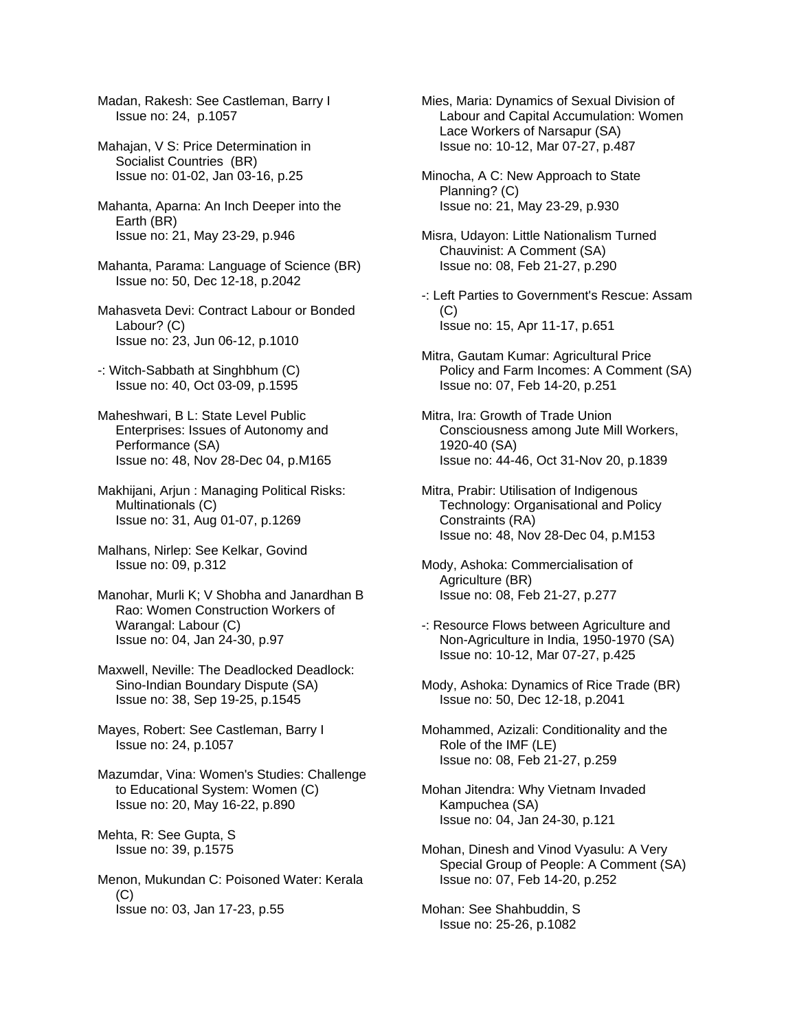Madan, Rakesh: See Castleman, Barry I Issue no: 24, p.1057

Mahajan, V S: Price Determination in Socialist Countries (BR) Issue no: 01-02, Jan 03-16, p.25

Mahanta, Aparna: An Inch Deeper into the Earth (BR) Issue no: 21, May 23-29, p.946

Mahanta, Parama: Language of Science (BR) Issue no: 50, Dec 12-18, p.2042

Mahasveta Devi: Contract Labour or Bonded Labour? (C) Issue no: 23, Jun 06-12, p.1010

- -: Witch-Sabbath at Singhbhum (C) Issue no: 40, Oct 03-09, p.1595
- Maheshwari, B L: State Level Public Enterprises: Issues of Autonomy and Performance (SA) Issue no: 48, Nov 28-Dec 04, p.M165

Makhijani, Arjun : Managing Political Risks: Multinationals (C) Issue no: 31, Aug 01-07, p.1269

Malhans, Nirlep: See Kelkar, Govind Issue no: 09, p.312

Manohar, Murli K; V Shobha and Janardhan B Rao: Women Construction Workers of Warangal: Labour (C) Issue no: 04, Jan 24-30, p.97

Maxwell, Neville: The Deadlocked Deadlock: Sino-Indian Boundary Dispute (SA) Issue no: 38, Sep 19-25, p.1545

Mayes, Robert: See Castleman, Barry I Issue no: 24, p.1057

Mazumdar, Vina: Women's Studies: Challenge to Educational System: Women (C) Issue no: 20, May 16-22, p.890

Mehta, R: See Gupta, S Issue no: 39, p.1575

Menon, Mukundan C: Poisoned Water: Kerala (C) Issue no: 03, Jan 17-23, p.55

Mies, Maria: Dynamics of Sexual Division of Labour and Capital Accumulation: Women Lace Workers of Narsapur (SA) Issue no: 10-12, Mar 07-27, p.487

- Minocha, A C: New Approach to State Planning? (C) Issue no: 21, May 23-29, p.930
- Misra, Udayon: Little Nationalism Turned Chauvinist: A Comment (SA) Issue no: 08, Feb 21-27, p.290
- -: Left Parties to Government's Rescue: Assam  $(C)$ Issue no: 15, Apr 11-17, p.651
- Mitra, Gautam Kumar: Agricultural Price Policy and Farm Incomes: A Comment (SA) Issue no: 07, Feb 14-20, p.251
- Mitra, Ira: Growth of Trade Union Consciousness among Jute Mill Workers, 1920-40 (SA) Issue no: 44-46, Oct 31-Nov 20, p.1839
- Mitra, Prabir: Utilisation of Indigenous Technology: Organisational and Policy Constraints (RA) Issue no: 48, Nov 28-Dec 04, p.M153

Mody, Ashoka: Commercialisation of Agriculture (BR) Issue no: 08, Feb 21-27, p.277

- -: Resource Flows between Agriculture and Non-Agriculture in India, 1950-1970 (SA) Issue no: 10-12, Mar 07-27, p.425
- Mody, Ashoka: Dynamics of Rice Trade (BR) Issue no: 50, Dec 12-18, p.2041
- Mohammed, Azizali: Conditionality and the Role of the IMF (LE) Issue no: 08, Feb 21-27, p.259
- Mohan Jitendra: Why Vietnam Invaded Kampuchea (SA) Issue no: 04, Jan 24-30, p.121
- Mohan, Dinesh and Vinod Vyasulu: A Very Special Group of People: A Comment (SA) Issue no: 07, Feb 14-20, p.252

Mohan: See Shahbuddin, S Issue no: 25-26, p.1082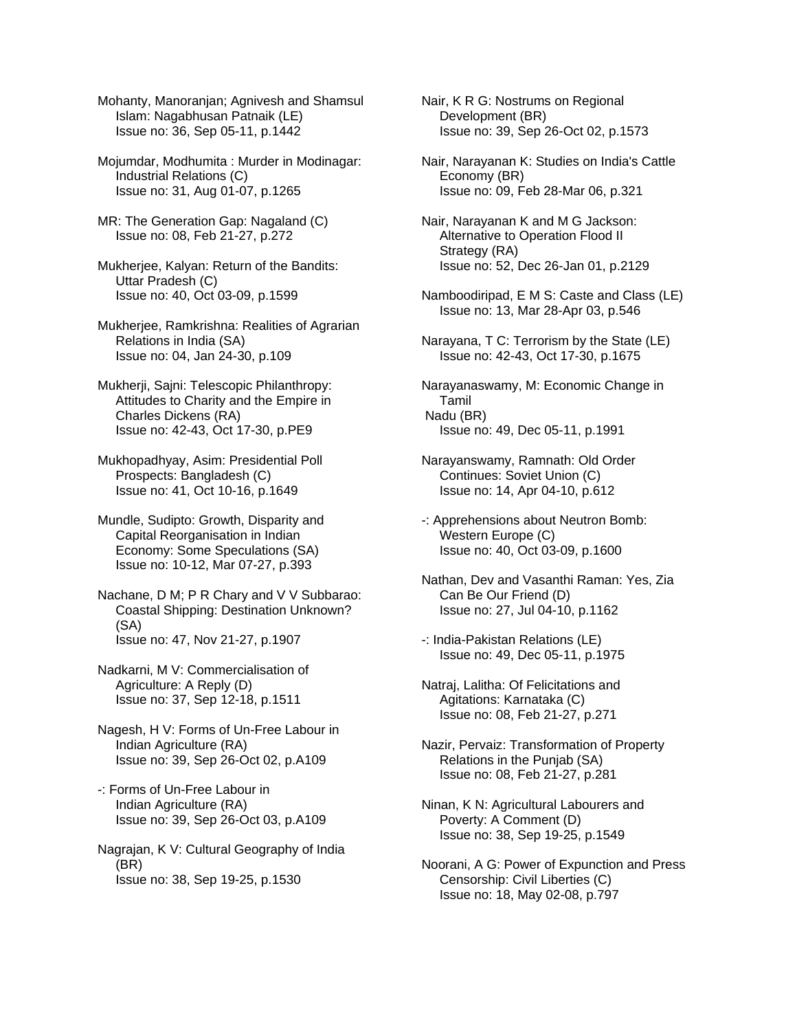Mohanty, Manoranjan; Agnivesh and Shamsul Islam: Nagabhusan Patnaik (LE) Issue no: 36, Sep 05-11, p.1442

Mojumdar, Modhumita : Murder in Modinagar: Industrial Relations (C) Issue no: 31, Aug 01-07, p.1265

- MR: The Generation Gap: Nagaland (C) Issue no: 08, Feb 21-27, p.272
- Mukherjee, Kalyan: Return of the Bandits: Uttar Pradesh (C) Issue no: 40, Oct 03-09, p.1599
- Mukherjee, Ramkrishna: Realities of Agrarian Relations in India (SA) Issue no: 04, Jan 24-30, p.109
- Mukherji, Sajni: Telescopic Philanthropy: Attitudes to Charity and the Empire in Charles Dickens (RA) Issue no: 42-43, Oct 17-30, p.PE9
- Mukhopadhyay, Asim: Presidential Poll Prospects: Bangladesh (C) Issue no: 41, Oct 10-16, p.1649
- Mundle, Sudipto: Growth, Disparity and Capital Reorganisation in Indian Economy: Some Speculations (SA) Issue no: 10-12, Mar 07-27, p.393

Nachane, D M; P R Chary and V V Subbarao: Coastal Shipping: Destination Unknown? (SA) Issue no: 47, Nov 21-27, p.1907

- Nadkarni, M V: Commercialisation of Agriculture: A Reply (D) Issue no: 37, Sep 12-18, p.1511
- Nagesh, H V: Forms of Un-Free Labour in Indian Agriculture (RA) Issue no: 39, Sep 26-Oct 02, p.A109
- -: Forms of Un-Free Labour in Indian Agriculture (RA) Issue no: 39, Sep 26-Oct 03, p.A109
- Nagrajan, K V: Cultural Geography of India (BR) Issue no: 38, Sep 19-25, p.1530
- Nair, K R G: Nostrums on Regional Development (BR) Issue no: 39, Sep 26-Oct 02, p.1573
- Nair, Narayanan K: Studies on India's Cattle Economy (BR) Issue no: 09, Feb 28-Mar 06, p.321
- Nair, Narayanan K and M G Jackson: Alternative to Operation Flood II Strategy (RA) Issue no: 52, Dec 26-Jan 01, p.2129
- Namboodiripad, E M S: Caste and Class (LE) Issue no: 13, Mar 28-Apr 03, p.546
- Narayana, T C: Terrorism by the State (LE) Issue no: 42-43, Oct 17-30, p.1675
- Narayanaswamy, M: Economic Change in Tamil Nadu (BR) Issue no: 49, Dec 05-11, p.1991
- Narayanswamy, Ramnath: Old Order Continues: Soviet Union (C) Issue no: 14, Apr 04-10, p.612
- -: Apprehensions about Neutron Bomb: Western Europe (C) Issue no: 40, Oct 03-09, p.1600
- Nathan, Dev and Vasanthi Raman: Yes, Zia Can Be Our Friend (D) Issue no: 27, Jul 04-10, p.1162
- -: India-Pakistan Relations (LE) Issue no: 49, Dec 05-11, p.1975
- Natraj, Lalitha: Of Felicitations and Agitations: Karnataka (C) Issue no: 08, Feb 21-27, p.271
- Nazir, Pervaiz: Transformation of Property Relations in the Punjab (SA) Issue no: 08, Feb 21-27, p.281
- Ninan, K N: Agricultural Labourers and Poverty: A Comment (D) Issue no: 38, Sep 19-25, p.1549
- Noorani, A G: Power of Expunction and Press Censorship: Civil Liberties (C) Issue no: 18, May 02-08, p.797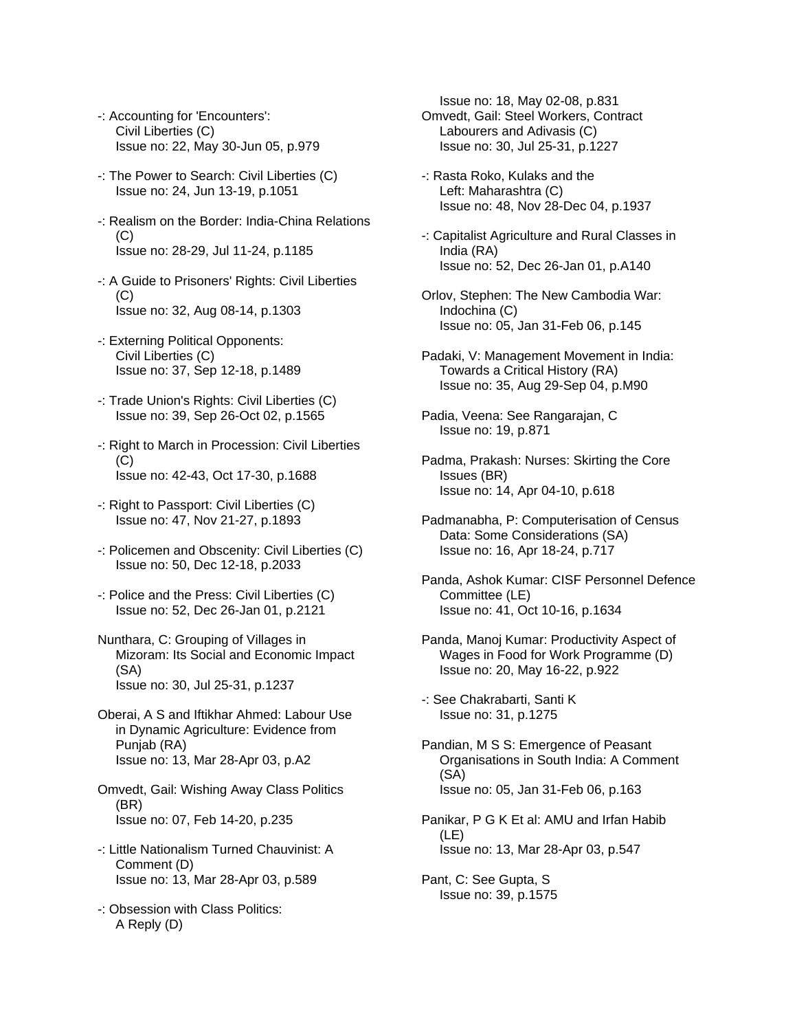- -: Accounting for 'Encounters': Civil Liberties (C) Issue no: 22, May 30-Jun 05, p.979
- -: The Power to Search: Civil Liberties (C) Issue no: 24, Jun 13-19, p.1051
- -: Realism on the Border: India-China Relations  $(C)$ Issue no: 28-29, Jul 11-24, p.1185
- -: A Guide to Prisoners' Rights: Civil Liberties (C) Issue no: 32, Aug 08-14, p.1303
- -: Externing Political Opponents: Civil Liberties (C) Issue no: 37, Sep 12-18, p.1489
- -: Trade Union's Rights: Civil Liberties (C) Issue no: 39, Sep 26-Oct 02, p.1565
- -: Right to March in Procession: Civil Liberties  $(C)$ Issue no: 42-43, Oct 17-30, p.1688
- -: Right to Passport: Civil Liberties (C) Issue no: 47, Nov 21-27, p.1893
- -: Policemen and Obscenity: Civil Liberties (C) Issue no: 50, Dec 12-18, p.2033
- -: Police and the Press: Civil Liberties (C) Issue no: 52, Dec 26-Jan 01, p.2121
- Nunthara, C: Grouping of Villages in Mizoram: Its Social and Economic Impact (SA) Issue no: 30, Jul 25-31, p.1237
- Oberai, A S and Iftikhar Ahmed: Labour Use in Dynamic Agriculture: Evidence from Punjab (RA) Issue no: 13, Mar 28-Apr 03, p.A2
- Omvedt, Gail: Wishing Away Class Politics (BR) Issue no: 07, Feb 14-20, p.235
- -: Little Nationalism Turned Chauvinist: A Comment (D) Issue no: 13, Mar 28-Apr 03, p.589
- -: Obsession with Class Politics: A Reply (D)

 Issue no: 18, May 02-08, p.831 Omvedt, Gail: Steel Workers, Contract Labourers and Adivasis (C) Issue no: 30, Jul 25-31, p.1227

- -: Rasta Roko, Kulaks and the Left: Maharashtra (C) Issue no: 48, Nov 28-Dec 04, p.1937
- -: Capitalist Agriculture and Rural Classes in India (RA) Issue no: 52, Dec 26-Jan 01, p.A140
- Orlov, Stephen: The New Cambodia War: Indochina (C) Issue no: 05, Jan 31-Feb 06, p.145
- Padaki, V: Management Movement in India: Towards a Critical History (RA) Issue no: 35, Aug 29-Sep 04, p.M90
- Padia, Veena: See Rangarajan, C Issue no: 19, p.871
- Padma, Prakash: Nurses: Skirting the Core Issues (BR) Issue no: 14, Apr 04-10, p.618
- Padmanabha, P: Computerisation of Census Data: Some Considerations (SA) Issue no: 16, Apr 18-24, p.717
- Panda, Ashok Kumar: CISF Personnel Defence Committee (LE) Issue no: 41, Oct 10-16, p.1634
- Panda, Manoj Kumar: Productivity Aspect of Wages in Food for Work Programme (D) Issue no: 20, May 16-22, p.922
- -: See Chakrabarti, Santi K Issue no: 31, p.1275
- Pandian, M S S: Emergence of Peasant Organisations in South India: A Comment (SA) Issue no: 05, Jan 31-Feb 06, p.163
- Panikar, P G K Et al: AMU and Irfan Habib (LE) Issue no: 13, Mar 28-Apr 03, p.547
- Pant, C: See Gupta, S Issue no: 39, p.1575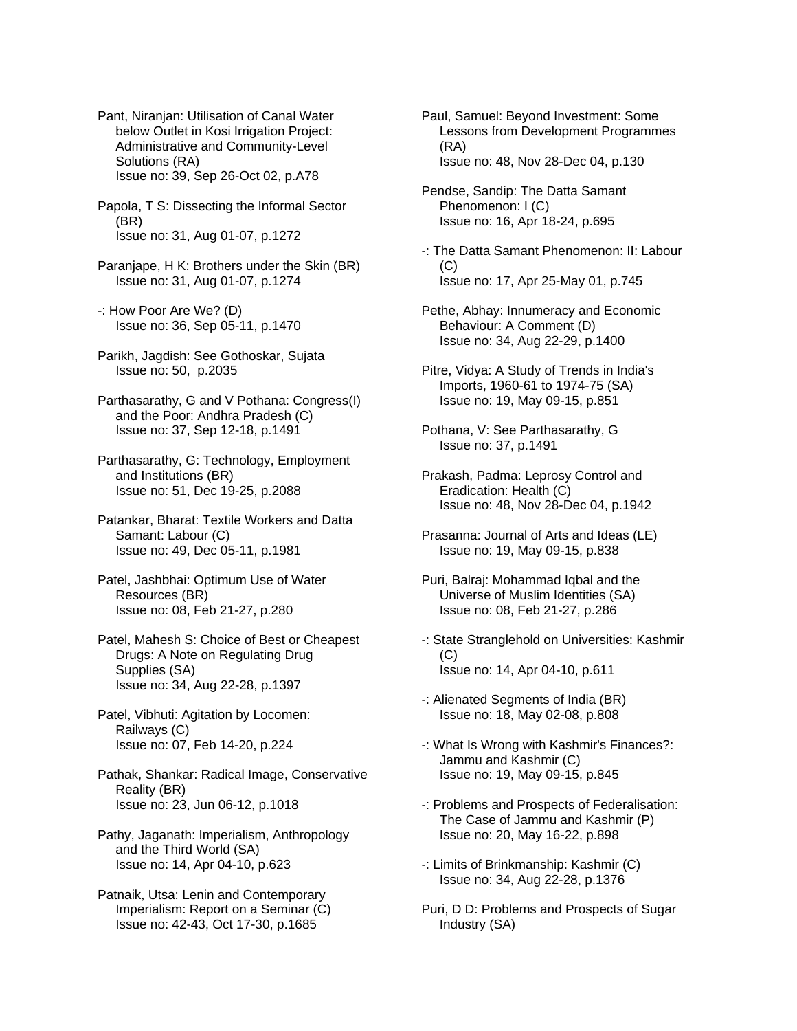Pant, Niranjan: Utilisation of Canal Water below Outlet in Kosi Irrigation Project: Administrative and Community-Level Solutions (RA) Issue no: 39, Sep 26-Oct 02, p.A78

Papola, T S: Dissecting the Informal Sector (BR) Issue no: 31, Aug 01-07, p.1272

- Paranjape, H K: Brothers under the Skin (BR) Issue no: 31, Aug 01-07, p.1274
- -: How Poor Are We? (D) Issue no: 36, Sep 05-11, p.1470
- Parikh, Jagdish: See Gothoskar, Sujata Issue no: 50, p.2035
- Parthasarathy, G and V Pothana: Congress(I) and the Poor: Andhra Pradesh (C) Issue no: 37, Sep 12-18, p.1491
- Parthasarathy, G: Technology, Employment and Institutions (BR) Issue no: 51, Dec 19-25, p.2088
- Patankar, Bharat: Textile Workers and Datta Samant: Labour (C) Issue no: 49, Dec 05-11, p.1981
- Patel, Jashbhai: Optimum Use of Water Resources (BR) Issue no: 08, Feb 21-27, p.280
- Patel, Mahesh S: Choice of Best or Cheapest Drugs: A Note on Regulating Drug Supplies (SA) Issue no: 34, Aug 22-28, p.1397
- Patel, Vibhuti: Agitation by Locomen: Railways (C) Issue no: 07, Feb 14-20, p.224
- Pathak, Shankar: Radical Image, Conservative Reality (BR) Issue no: 23, Jun 06-12, p.1018
- Pathy, Jaganath: Imperialism, Anthropology and the Third World (SA) Issue no: 14, Apr 04-10, p.623
- Patnaik, Utsa: Lenin and Contemporary Imperialism: Report on a Seminar (C) Issue no: 42-43, Oct 17-30, p.1685
- Paul, Samuel: Beyond Investment: Some Lessons from Development Programmes (RA) Issue no: 48, Nov 28-Dec 04, p.130
- Pendse, Sandip: The Datta Samant Phenomenon: I (C) Issue no: 16, Apr 18-24, p.695
- -: The Datta Samant Phenomenon: II: Labour (C) Issue no: 17, Apr 25-May 01, p.745
- Pethe, Abhay: Innumeracy and Economic Behaviour: A Comment (D) Issue no: 34, Aug 22-29, p.1400
- Pitre, Vidya: A Study of Trends in India's Imports, 1960-61 to 1974-75 (SA) Issue no: 19, May 09-15, p.851
- Pothana, V: See Parthasarathy, G Issue no: 37, p.1491
- Prakash, Padma: Leprosy Control and Eradication: Health (C) Issue no: 48, Nov 28-Dec 04, p.1942
- Prasanna: Journal of Arts and Ideas (LE) Issue no: 19, May 09-15, p.838
- Puri, Balraj: Mohammad Iqbal and the Universe of Muslim Identities (SA) Issue no: 08, Feb 21-27, p.286
- -: State Stranglehold on Universities: Kashmir  $(C)$ Issue no: 14, Apr 04-10, p.611
- -: Alienated Segments of India (BR) Issue no: 18, May 02-08, p.808
- -: What Is Wrong with Kashmir's Finances?: Jammu and Kashmir (C) Issue no: 19, May 09-15, p.845
- -: Problems and Prospects of Federalisation: The Case of Jammu and Kashmir (P) Issue no: 20, May 16-22, p.898
- -: Limits of Brinkmanship: Kashmir (C) Issue no: 34, Aug 22-28, p.1376
- Puri, D D: Problems and Prospects of Sugar Industry (SA)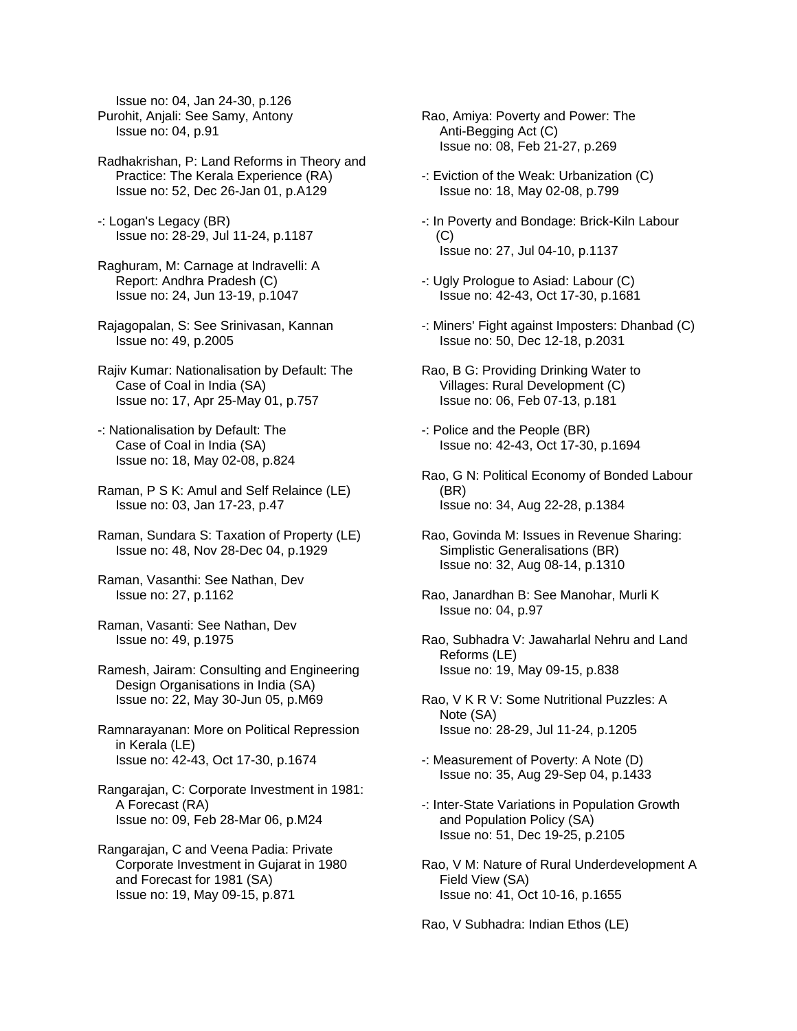Issue no: 04, Jan 24-30, p.126 Purohit, Anjali: See Samy, Antony Issue no: 04, p.91

Radhakrishan, P: Land Reforms in Theory and Practice: The Kerala Experience (RA) Issue no: 52, Dec 26-Jan 01, p.A129

-: Logan's Legacy (BR) Issue no: 28-29, Jul 11-24, p.1187

Raghuram, M: Carnage at Indravelli: A Report: Andhra Pradesh (C) Issue no: 24, Jun 13-19, p.1047

Rajagopalan, S: See Srinivasan, Kannan Issue no: 49, p.2005

Rajiv Kumar: Nationalisation by Default: The Case of Coal in India (SA) Issue no: 17, Apr 25-May 01, p.757

-: Nationalisation by Default: The Case of Coal in India (SA) Issue no: 18, May 02-08, p.824

Raman, P S K: Amul and Self Relaince (LE) Issue no: 03, Jan 17-23, p.47

Raman, Sundara S: Taxation of Property (LE) Issue no: 48, Nov 28-Dec 04, p.1929

Raman, Vasanthi: See Nathan, Dev Issue no: 27, p.1162

Raman, Vasanti: See Nathan, Dev Issue no: 49, p.1975

Ramesh, Jairam: Consulting and Engineering Design Organisations in India (SA) Issue no: 22, May 30-Jun 05, p.M69

Ramnarayanan: More on Political Repression in Kerala (LE) Issue no: 42-43, Oct 17-30, p.1674

Rangarajan, C: Corporate Investment in 1981: A Forecast (RA) Issue no: 09, Feb 28-Mar 06, p.M24

Rangarajan, C and Veena Padia: Private Corporate Investment in Gujarat in 1980 and Forecast for 1981 (SA) Issue no: 19, May 09-15, p.871

Rao, Amiya: Poverty and Power: The Anti-Begging Act (C) Issue no: 08, Feb 21-27, p.269

-: Eviction of the Weak: Urbanization (C) Issue no: 18, May 02-08, p.799

-: In Poverty and Bondage: Brick-Kiln Labour  $(C)$ Issue no: 27, Jul 04-10, p.1137

-: Ugly Prologue to Asiad: Labour (C) Issue no: 42-43, Oct 17-30, p.1681

-: Miners' Fight against Imposters: Dhanbad (C) Issue no: 50, Dec 12-18, p.2031

Rao, B G: Providing Drinking Water to Villages: Rural Development (C) Issue no: 06, Feb 07-13, p.181

-: Police and the People (BR) Issue no: 42-43, Oct 17-30, p.1694

Rao, G N: Political Economy of Bonded Labour (BR) Issue no: 34, Aug 22-28, p.1384

Rao, Govinda M: Issues in Revenue Sharing: Simplistic Generalisations (BR) Issue no: 32, Aug 08-14, p.1310

Rao, Janardhan B: See Manohar, Murli K Issue no: 04, p.97

Rao, Subhadra V: Jawaharlal Nehru and Land Reforms (LE) Issue no: 19, May 09-15, p.838

Rao, V K R V: Some Nutritional Puzzles: A Note (SA) Issue no: 28-29, Jul 11-24, p.1205

-: Measurement of Poverty: A Note (D) Issue no: 35, Aug 29-Sep 04, p.1433

-: Inter-State Variations in Population Growth and Population Policy (SA) Issue no: 51, Dec 19-25, p.2105

Rao, V M: Nature of Rural Underdevelopment A Field View (SA) Issue no: 41, Oct 10-16, p.1655

Rao, V Subhadra: Indian Ethos (LE)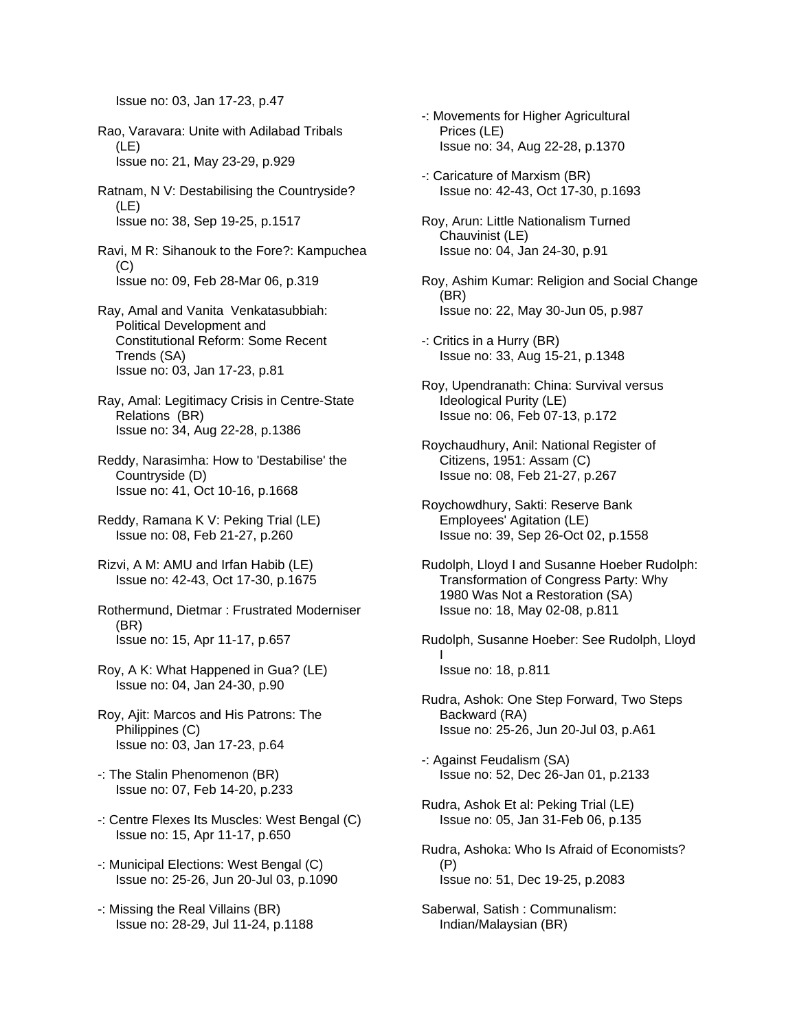Issue no: 03, Jan 17-23, p.47

- Rao, Varavara: Unite with Adilabad Tribals (LE) Issue no: 21, May 23-29, p.929
- Ratnam, N V: Destabilising the Countryside? (LE) Issue no: 38, Sep 19-25, p.1517
- Ravi, M R: Sihanouk to the Fore?: Kampuchea (C) Issue no: 09, Feb 28-Mar 06, p.319
- Ray, Amal and Vanita Venkatasubbiah: Political Development and Constitutional Reform: Some Recent Trends (SA) Issue no: 03, Jan 17-23, p.81
- Ray, Amal: Legitimacy Crisis in Centre-State Relations (BR) Issue no: 34, Aug 22-28, p.1386
- Reddy, Narasimha: How to 'Destabilise' the Countryside (D) Issue no: 41, Oct 10-16, p.1668
- Reddy, Ramana K V: Peking Trial (LE) Issue no: 08, Feb 21-27, p.260
- Rizvi, A M: AMU and Irfan Habib (LE) Issue no: 42-43, Oct 17-30, p.1675
- Rothermund, Dietmar : Frustrated Moderniser (BR) Issue no: 15, Apr 11-17, p.657
- Roy, A K: What Happened in Gua? (LE) Issue no: 04, Jan 24-30, p.90
- Roy, Ajit: Marcos and His Patrons: The Philippines (C) Issue no: 03, Jan 17-23, p.64
- -: The Stalin Phenomenon (BR) Issue no: 07, Feb 14-20, p.233
- -: Centre Flexes Its Muscles: West Bengal (C) Issue no: 15, Apr 11-17, p.650
- -: Municipal Elections: West Bengal (C) Issue no: 25-26, Jun 20-Jul 03, p.1090
- -: Missing the Real Villains (BR) Issue no: 28-29, Jul 11-24, p.1188
- -: Movements for Higher Agricultural Prices (LE) Issue no: 34, Aug 22-28, p.1370
- -: Caricature of Marxism (BR) Issue no: 42-43, Oct 17-30, p.1693
- Roy, Arun: Little Nationalism Turned Chauvinist (LE) Issue no: 04, Jan 24-30, p.91
- Roy, Ashim Kumar: Religion and Social Change (BR) Issue no: 22, May 30-Jun 05, p.987
- -: Critics in a Hurry (BR) Issue no: 33, Aug 15-21, p.1348
- Roy, Upendranath: China: Survival versus Ideological Purity (LE) Issue no: 06, Feb 07-13, p.172
- Roychaudhury, Anil: National Register of Citizens, 1951: Assam (C) Issue no: 08, Feb 21-27, p.267
- Roychowdhury, Sakti: Reserve Bank Employees' Agitation (LE) Issue no: 39, Sep 26-Oct 02, p.1558
- Rudolph, Lloyd I and Susanne Hoeber Rudolph: Transformation of Congress Party: Why 1980 Was Not a Restoration (SA) Issue no: 18, May 02-08, p.811
- Rudolph, Susanne Hoeber: See Rudolph, Lloyd I Issue no: 18, p.811
- Rudra, Ashok: One Step Forward, Two Steps Backward (RA) Issue no: 25-26, Jun 20-Jul 03, p.A61
- -: Against Feudalism (SA) Issue no: 52, Dec 26-Jan 01, p.2133
- Rudra, Ashok Et al: Peking Trial (LE) Issue no: 05, Jan 31-Feb 06, p.135
- Rudra, Ashoka: Who Is Afraid of Economists? (P) Issue no: 51, Dec 19-25, p.2083
- Saberwal, Satish : Communalism: Indian/Malaysian (BR)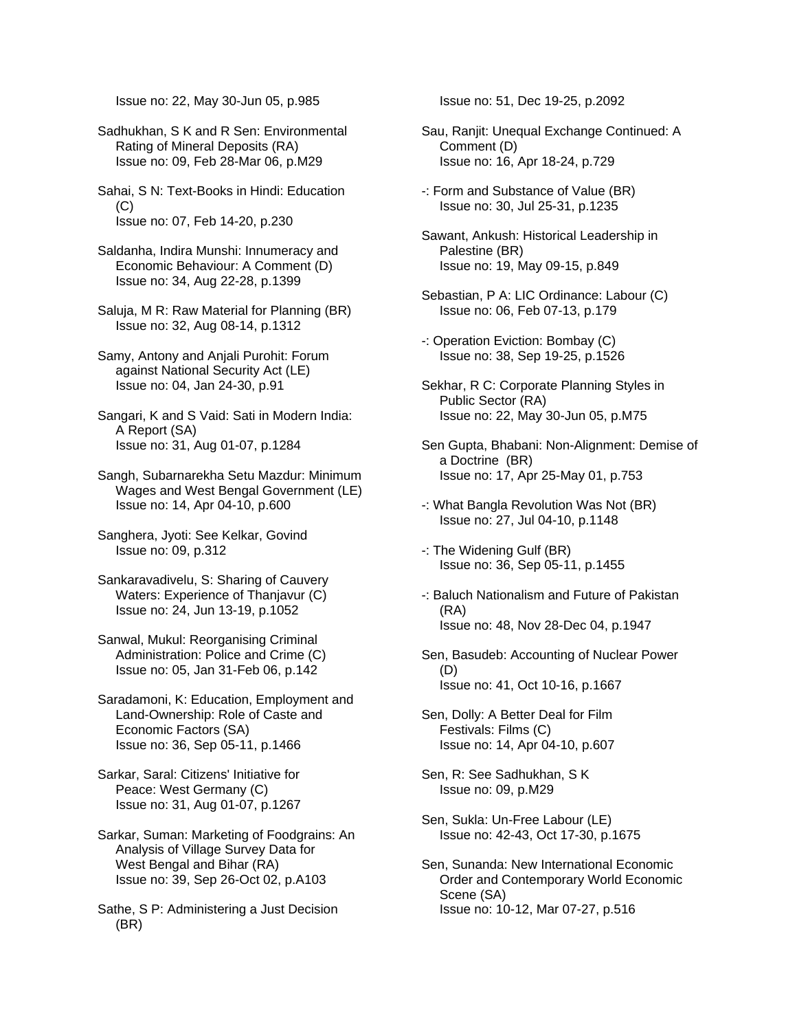Issue no: 22, May 30-Jun 05, p.985

Sadhukhan, S K and R Sen: Environmental Rating of Mineral Deposits (RA) Issue no: 09, Feb 28-Mar 06, p.M29

Sahai, S N: Text-Books in Hindi: Education (C) Issue no: 07, Feb 14-20, p.230

Saldanha, Indira Munshi: Innumeracy and Economic Behaviour: A Comment (D) Issue no: 34, Aug 22-28, p.1399

Saluja, M R: Raw Material for Planning (BR) Issue no: 32, Aug 08-14, p.1312

Samy, Antony and Anjali Purohit: Forum against National Security Act (LE) Issue no: 04, Jan 24-30, p.91

Sangari, K and S Vaid: Sati in Modern India: A Report (SA) Issue no: 31, Aug 01-07, p.1284

- Sangh, Subarnarekha Setu Mazdur: Minimum Wages and West Bengal Government (LE) Issue no: 14, Apr 04-10, p.600
- Sanghera, Jyoti: See Kelkar, Govind Issue no: 09, p.312
- Sankaravadivelu, S: Sharing of Cauvery Waters: Experience of Thanjavur (C) Issue no: 24, Jun 13-19, p.1052

Sanwal, Mukul: Reorganising Criminal Administration: Police and Crime (C) Issue no: 05, Jan 31-Feb 06, p.142

Saradamoni, K: Education, Employment and Land-Ownership: Role of Caste and Economic Factors (SA) Issue no: 36, Sep 05-11, p.1466

Sarkar, Saral: Citizens' Initiative for Peace: West Germany (C) Issue no: 31, Aug 01-07, p.1267

Sarkar, Suman: Marketing of Foodgrains: An Analysis of Village Survey Data for West Bengal and Bihar (RA) Issue no: 39, Sep 26-Oct 02, p.A103

Sathe, S P: Administering a Just Decision (BR)

Issue no: 51, Dec 19-25, p.2092

- Sau, Ranjit: Unequal Exchange Continued: A Comment (D) Issue no: 16, Apr 18-24, p.729
- -: Form and Substance of Value (BR) Issue no: 30, Jul 25-31, p.1235

Sawant, Ankush: Historical Leadership in Palestine (BR) Issue no: 19, May 09-15, p.849

Sebastian, P A: LIC Ordinance: Labour (C) Issue no: 06, Feb 07-13, p.179

-: Operation Eviction: Bombay (C) Issue no: 38, Sep 19-25, p.1526

- Sekhar, R C: Corporate Planning Styles in Public Sector (RA) Issue no: 22, May 30-Jun 05, p.M75
- Sen Gupta, Bhabani: Non-Alignment: Demise of a Doctrine (BR) Issue no: 17, Apr 25-May 01, p.753
- -: What Bangla Revolution Was Not (BR) Issue no: 27, Jul 04-10, p.1148
- -: The Widening Gulf (BR) Issue no: 36, Sep 05-11, p.1455
- -: Baluch Nationalism and Future of Pakistan (RA) Issue no: 48, Nov 28-Dec 04, p.1947
- Sen, Basudeb: Accounting of Nuclear Power (D) Issue no: 41, Oct 10-16, p.1667
- Sen, Dolly: A Better Deal for Film Festivals: Films (C) Issue no: 14, Apr 04-10, p.607
- Sen, R: See Sadhukhan, S K Issue no: 09, p.M29
- Sen, Sukla: Un-Free Labour (LE) Issue no: 42-43, Oct 17-30, p.1675
- Sen, Sunanda: New International Economic Order and Contemporary World Economic Scene (SA) Issue no: 10-12, Mar 07-27, p.516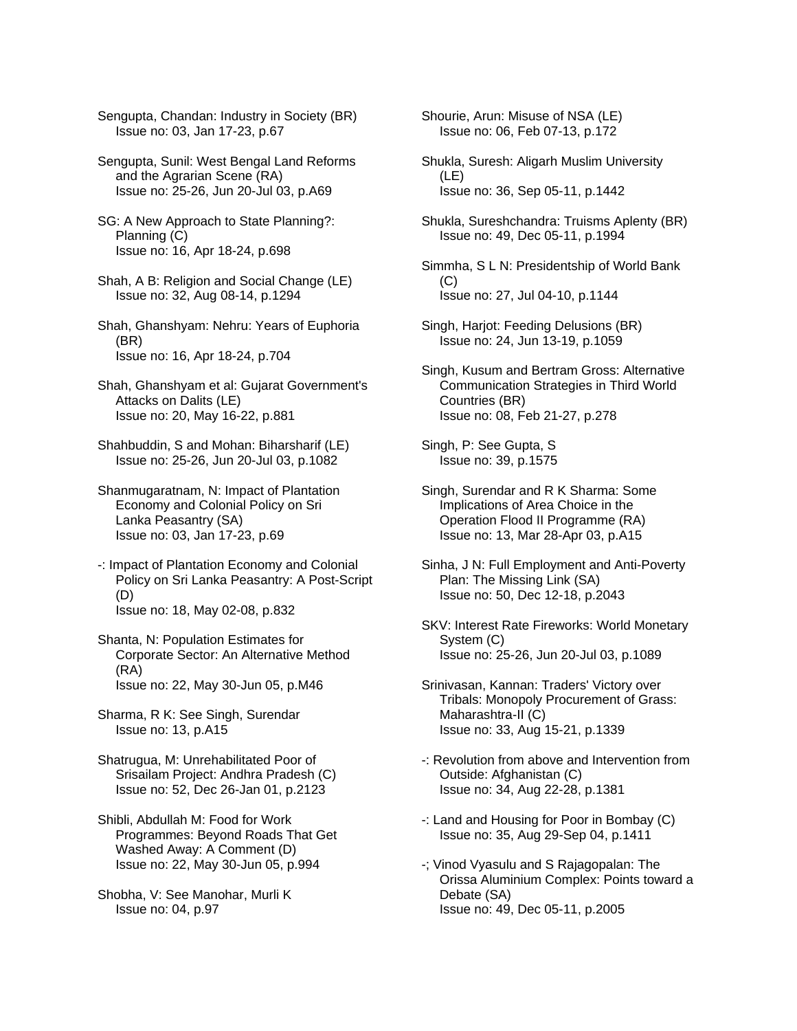Sengupta, Chandan: Industry in Society (BR) Issue no: 03, Jan 17-23, p.67

Sengupta, Sunil: West Bengal Land Reforms and the Agrarian Scene (RA) Issue no: 25-26, Jun 20-Jul 03, p.A69

SG: A New Approach to State Planning?: Planning (C) Issue no: 16, Apr 18-24, p.698

Shah, A B: Religion and Social Change (LE) Issue no: 32, Aug 08-14, p.1294

Shah, Ghanshyam: Nehru: Years of Euphoria (BR) Issue no: 16, Apr 18-24, p.704

Shah, Ghanshyam et al: Gujarat Government's Attacks on Dalits (LE) Issue no: 20, May 16-22, p.881

Shahbuddin, S and Mohan: Biharsharif (LE) Issue no: 25-26, Jun 20-Jul 03, p.1082

Shanmugaratnam, N: Impact of Plantation Economy and Colonial Policy on Sri Lanka Peasantry (SA) Issue no: 03, Jan 17-23, p.69

-: Impact of Plantation Economy and Colonial Policy on Sri Lanka Peasantry: A Post-Script (D) Issue no: 18, May 02-08, p.832

Shanta, N: Population Estimates for Corporate Sector: An Alternative Method (RA) Issue no: 22, May 30-Jun 05, p.M46

Sharma, R K: See Singh, Surendar Issue no: 13, p.A15

Shatrugua, M: Unrehabilitated Poor of Srisailam Project: Andhra Pradesh (C) Issue no: 52, Dec 26-Jan 01, p.2123

Shibli, Abdullah M: Food for Work Programmes: Beyond Roads That Get Washed Away: A Comment (D) Issue no: 22, May 30-Jun 05, p.994

Shobha, V: See Manohar, Murli K Issue no: 04, p.97

Shourie, Arun: Misuse of NSA (LE) Issue no: 06, Feb 07-13, p.172

Shukla, Suresh: Aligarh Muslim University (LE) Issue no: 36, Sep 05-11, p.1442

Shukla, Sureshchandra: Truisms Aplenty (BR) Issue no: 49, Dec 05-11, p.1994

Simmha, S L N: Presidentship of World Bank  $(C)$ Issue no: 27, Jul 04-10, p.1144

Singh, Harjot: Feeding Delusions (BR) Issue no: 24, Jun 13-19, p.1059

Singh, Kusum and Bertram Gross: Alternative Communication Strategies in Third World Countries (BR) Issue no: 08, Feb 21-27, p.278

Singh, P: See Gupta, S Issue no: 39, p.1575

Singh, Surendar and R K Sharma: Some Implications of Area Choice in the Operation Flood II Programme (RA) Issue no: 13, Mar 28-Apr 03, p.A15

Sinha, J N: Full Employment and Anti-Poverty Plan: The Missing Link (SA) Issue no: 50, Dec 12-18, p.2043

SKV: Interest Rate Fireworks: World Monetary System (C) Issue no: 25-26, Jun 20-Jul 03, p.1089

Srinivasan, Kannan: Traders' Victory over Tribals: Monopoly Procurement of Grass: Maharashtra-II (C) Issue no: 33, Aug 15-21, p.1339

-: Revolution from above and Intervention from Outside: Afghanistan (C) Issue no: 34, Aug 22-28, p.1381

-: Land and Housing for Poor in Bombay (C) Issue no: 35, Aug 29-Sep 04, p.1411

-; Vinod Vyasulu and S Rajagopalan: The Orissa Aluminium Complex: Points toward a Debate (SA) Issue no: 49, Dec 05-11, p.2005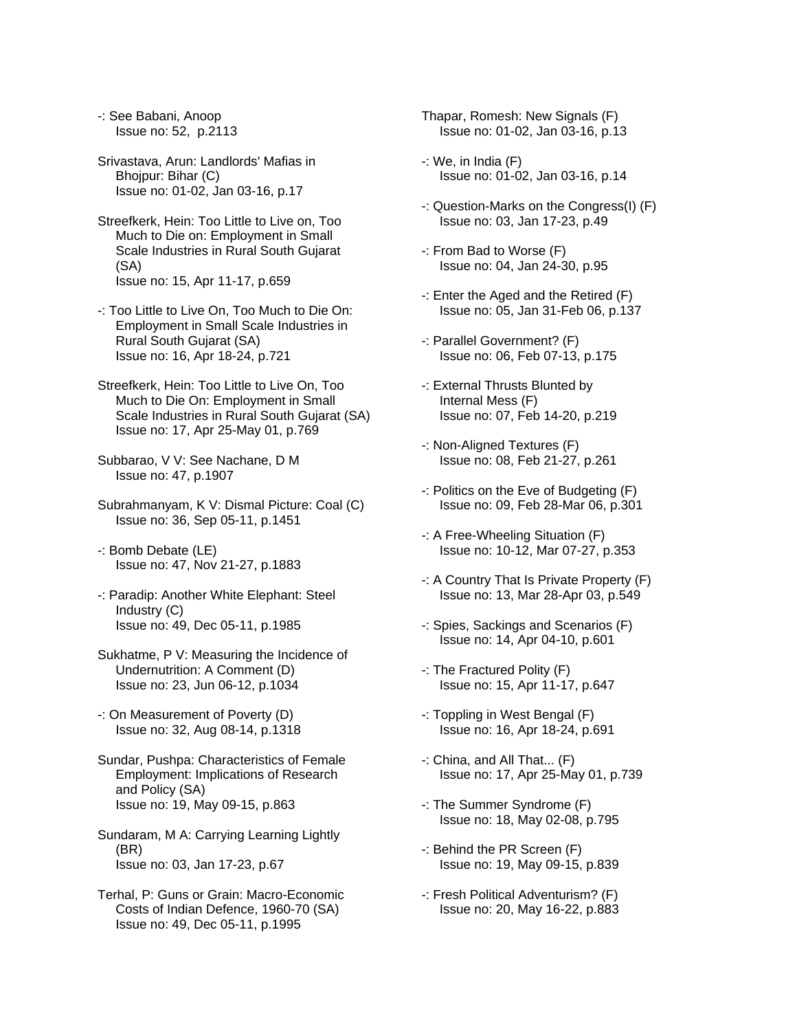-: See Babani, Anoop Issue no: 52, p.2113

Srivastava, Arun: Landlords' Mafias in Bhojpur: Bihar (C) Issue no: 01-02, Jan 03-16, p.17

- Streefkerk, Hein: Too Little to Live on, Too Much to Die on: Employment in Small Scale Industries in Rural South Gujarat (SA) Issue no: 15, Apr 11-17, p.659
- -: Too Little to Live On, Too Much to Die On: Employment in Small Scale Industries in Rural South Gujarat (SA) Issue no: 16, Apr 18-24, p.721
- Streefkerk, Hein: Too Little to Live On, Too Much to Die On: Employment in Small Scale Industries in Rural South Gujarat (SA) Issue no: 17, Apr 25-May 01, p.769
- Subbarao, V V: See Nachane, D M Issue no: 47, p.1907
- Subrahmanyam, K V: Dismal Picture: Coal (C) Issue no: 36, Sep 05-11, p.1451
- -: Bomb Debate (LE) Issue no: 47, Nov 21-27, p.1883
- -: Paradip: Another White Elephant: Steel Industry (C) Issue no: 49, Dec 05-11, p.1985
- Sukhatme, P V: Measuring the Incidence of Undernutrition: A Comment (D) Issue no: 23, Jun 06-12, p.1034
- -: On Measurement of Poverty (D) Issue no: 32, Aug 08-14, p.1318
- Sundar, Pushpa: Characteristics of Female Employment: Implications of Research and Policy (SA) Issue no: 19, May 09-15, p.863
- Sundaram, M A: Carrying Learning Lightly (BR) Issue no: 03, Jan 17-23, p.67
- Terhal, P: Guns or Grain: Macro-Economic Costs of Indian Defence, 1960-70 (SA) Issue no: 49, Dec 05-11, p.1995
- Thapar, Romesh: New Signals (F) Issue no: 01-02, Jan 03-16, p.13
- -: We, in India (F) Issue no: 01-02, Jan 03-16, p.14
- -: Question-Marks on the Congress(I) (F) Issue no: 03, Jan 17-23, p.49
- -: From Bad to Worse (F) Issue no: 04, Jan 24-30, p.95
- -: Enter the Aged and the Retired (F) Issue no: 05, Jan 31-Feb 06, p.137
- -: Parallel Government? (F) Issue no: 06, Feb 07-13, p.175
- -: External Thrusts Blunted by Internal Mess (F) Issue no: 07, Feb 14-20, p.219
- -: Non-Aligned Textures (F) Issue no: 08, Feb 21-27, p.261
- -: Politics on the Eve of Budgeting (F) Issue no: 09, Feb 28-Mar 06, p.301
- -: A Free-Wheeling Situation (F) Issue no: 10-12, Mar 07-27, p.353
- -: A Country That Is Private Property (F) Issue no: 13, Mar 28-Apr 03, p.549
- -: Spies, Sackings and Scenarios (F) Issue no: 14, Apr 04-10, p.601
- -: The Fractured Polity (F) Issue no: 15, Apr 11-17, p.647
- -: Toppling in West Bengal (F) Issue no: 16, Apr 18-24, p.691
- -: China, and All That... (F) Issue no: 17, Apr 25-May 01, p.739
- -: The Summer Syndrome (F) Issue no: 18, May 02-08, p.795
- -: Behind the PR Screen (F) Issue no: 19, May 09-15, p.839
- -: Fresh Political Adventurism? (F) Issue no: 20, May 16-22, p.883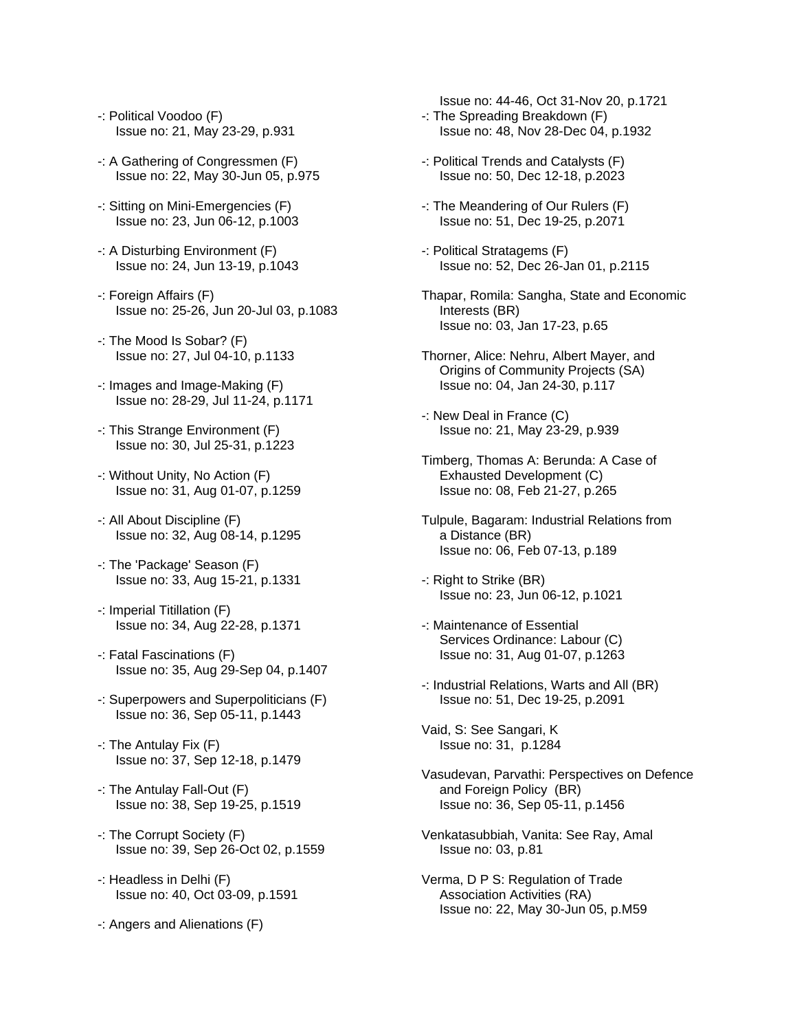- -: Political Voodoo (F) Issue no: 21, May 23-29, p.931
- -: A Gathering of Congressmen (F) Issue no: 22, May 30-Jun 05, p.975
- -: Sitting on Mini-Emergencies (F) Issue no: 23, Jun 06-12, p.1003
- -: A Disturbing Environment (F) Issue no: 24, Jun 13-19, p.1043
- -: Foreign Affairs (F) Issue no: 25-26, Jun 20-Jul 03, p.1083
- -: The Mood Is Sobar? (F) Issue no: 27, Jul 04-10, p.1133
- -: Images and Image-Making (F) Issue no: 28-29, Jul 11-24, p.1171
- -: This Strange Environment (F) Issue no: 30, Jul 25-31, p.1223
- -: Without Unity, No Action (F) Issue no: 31, Aug 01-07, p.1259
- -: All About Discipline (F) Issue no: 32, Aug 08-14, p.1295
- -: The 'Package' Season (F) Issue no: 33, Aug 15-21, p.1331
- -: Imperial Titillation (F) Issue no: 34, Aug 22-28, p.1371
- -: Fatal Fascinations (F) Issue no: 35, Aug 29-Sep 04, p.1407
- -: Superpowers and Superpoliticians (F) Issue no: 36, Sep 05-11, p.1443
- -: The Antulay Fix (F) Issue no: 37, Sep 12-18, p.1479
- -: The Antulay Fall-Out (F) Issue no: 38, Sep 19-25, p.1519
- -: The Corrupt Society (F) Issue no: 39, Sep 26-Oct 02, p.1559
- -: Headless in Delhi (F) Issue no: 40, Oct 03-09, p.1591
- -: Angers and Alienations (F)
- Issue no: 44-46, Oct 31-Nov 20, p.1721 -: The Spreading Breakdown (F) Issue no: 48, Nov 28-Dec 04, p.1932
- -: Political Trends and Catalysts (F) Issue no: 50, Dec 12-18, p.2023
- -: The Meandering of Our Rulers (F) Issue no: 51, Dec 19-25, p.2071
- -: Political Stratagems (F) Issue no: 52, Dec 26-Jan 01, p.2115
- Thapar, Romila: Sangha, State and Economic Interests (BR) Issue no: 03, Jan 17-23, p.65
- Thorner, Alice: Nehru, Albert Mayer, and Origins of Community Projects (SA) Issue no: 04, Jan 24-30, p.117
- -: New Deal in France (C) Issue no: 21, May 23-29, p.939
- Timberg, Thomas A: Berunda: A Case of Exhausted Development (C) Issue no: 08, Feb 21-27, p.265
- Tulpule, Bagaram: Industrial Relations from a Distance (BR) Issue no: 06, Feb 07-13, p.189
- -: Right to Strike (BR) Issue no: 23, Jun 06-12, p.1021
- -: Maintenance of Essential Services Ordinance: Labour (C) Issue no: 31, Aug 01-07, p.1263
- -: Industrial Relations, Warts and All (BR) Issue no: 51, Dec 19-25, p.2091
- Vaid, S: See Sangari, K Issue no: 31, p.1284
- Vasudevan, Parvathi: Perspectives on Defence and Foreign Policy (BR) Issue no: 36, Sep 05-11, p.1456
- Venkatasubbiah, Vanita: See Ray, Amal Issue no: 03, p.81
- Verma, D P S: Regulation of Trade Association Activities (RA) Issue no: 22, May 30-Jun 05, p.M59